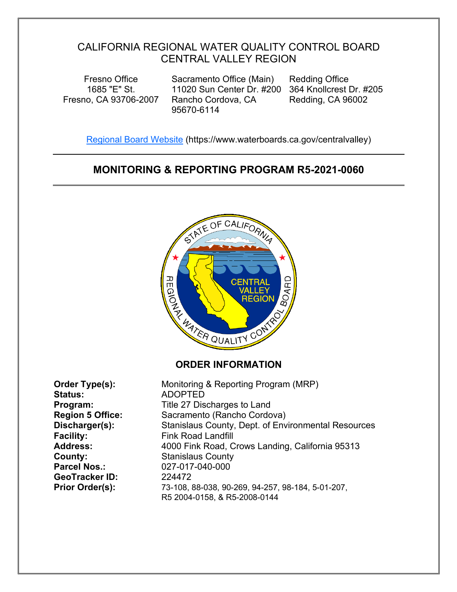# CALIFORNIA REGIONAL WATER QUALITY CONTROL BOARD CENTRAL VALLEY REGION

Fresno Office 1685 "E" St. Fresno, CA 93706-2007

Sacramento Office (Main) 11020 Sun Center Dr. #200 364 Knollcrest Dr. #205 Rancho Cordova, CA 95670-6114

Redding Office Redding, CA 96002

[Regional Board Website](https://www.waterboards.ca.gov/centralvalley/) (https://www.waterboards.ca.gov/centralvalley)

# **MONITORING & REPORTING PROGRAM R5-2021-0060**



**Order Type(s):** Monitoring & Reporting Program (MRP) **Status:** ADOPTED **Program:** Title 27 Discharges to Land **Region 5 Office:** Sacramento (Rancho Cordova) **Discharger(s):** Stanislaus County, Dept. of Environmental Resources **Facility:** Fink Road Landfill **Address:** 4000 Fink Road, Crows Landing, California 95313 **County:** Stanislaus County **Parcel Nos.:** 027-017-040-000 **GeoTracker ID:** 224472 **Prior Order(s):** 73-108, 88-038, 90-269, 94-257, 98-184, 5-01-207, R5 2004-0158, & R5-2008-0144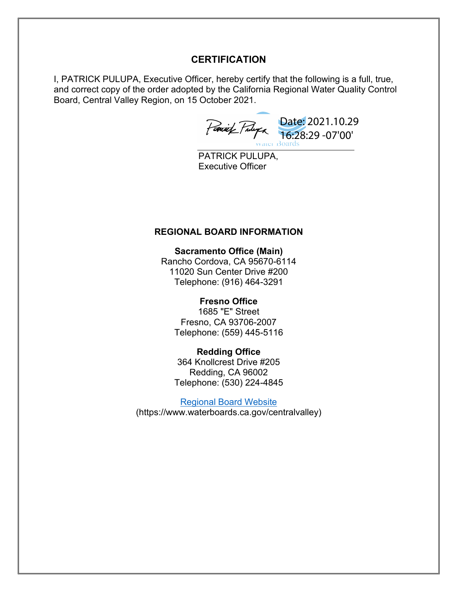## **CERTIFICATION**

I, PATRICK PULUPA, Executive Officer, hereby certify that the following is a full, true, and correct copy of the order adopted by the California Regional Water Quality Control Board, Central Valley Region, on 15 October 2021.

Date: 2021.10.29 16:28:29 -07'00'

PATRICK PULUPA, Executive Officer

#### **REGIONAL BOARD INFORMATION**

**Sacramento Office (Main)**  Rancho Cordova, CA 95670-6114 11020 Sun Center Drive #200 Telephone: (916) 464-3291

#### **Fresno Office**

1685 "E" Street Fresno, CA 93706-2007 Telephone: (559) 445-5116

**Redding Office** 364 Knollcrest Drive #205 Redding, CA 96002 Telephone: (530) 224-4845

[Regional Board Website](https://www.waterboards.ca.gov/centralvalley/) (https://www.waterboards.ca.gov/centralvalley)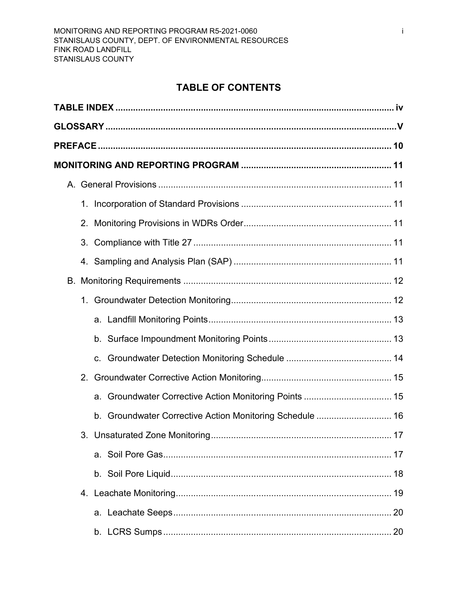# **TABLE OF CONTENTS**

| 2.                                                          |  |
|-------------------------------------------------------------|--|
| 3.                                                          |  |
|                                                             |  |
|                                                             |  |
|                                                             |  |
|                                                             |  |
|                                                             |  |
|                                                             |  |
| 2.                                                          |  |
| a. Groundwater Corrective Action Monitoring Points  15      |  |
| Groundwater Corrective Action Monitoring Schedule  16<br>b. |  |
|                                                             |  |
|                                                             |  |
|                                                             |  |
|                                                             |  |
|                                                             |  |
|                                                             |  |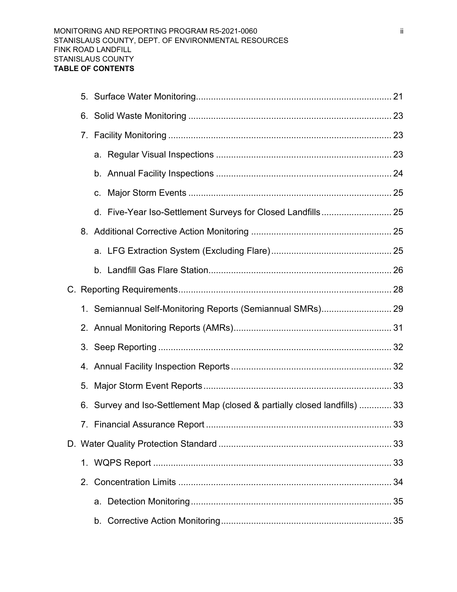|  | C.                                                                         |  |
|--|----------------------------------------------------------------------------|--|
|  | d. Five-Year Iso-Settlement Surveys for Closed Landfills 25                |  |
|  |                                                                            |  |
|  |                                                                            |  |
|  |                                                                            |  |
|  |                                                                            |  |
|  | 1. Semiannual Self-Monitoring Reports (Semiannual SMRs) 29                 |  |
|  |                                                                            |  |
|  |                                                                            |  |
|  |                                                                            |  |
|  |                                                                            |  |
|  | 6. Survey and Iso-Settlement Map (closed & partially closed landfills)  33 |  |
|  |                                                                            |  |
|  |                                                                            |  |
|  |                                                                            |  |
|  |                                                                            |  |
|  |                                                                            |  |
|  |                                                                            |  |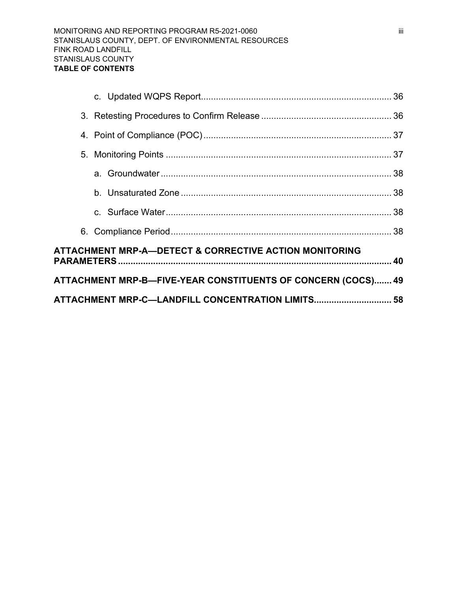|  | ATTACHMENT MRP-C-LANDFILL CONCENTRATION LIMITS 58            |  |
|--|--------------------------------------------------------------|--|
|  | ATTACHMENT MRP-B-FIVE-YEAR CONSTITUENTS OF CONCERN (COCS) 49 |  |
|  | ATTACHMENT MRP-A—DETECT & CORRECTIVE ACTION MONITORING       |  |
|  |                                                              |  |
|  |                                                              |  |
|  |                                                              |  |
|  |                                                              |  |
|  |                                                              |  |
|  |                                                              |  |
|  |                                                              |  |
|  |                                                              |  |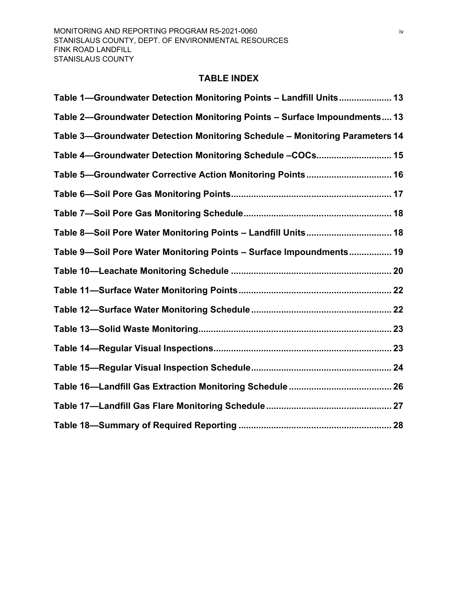#### **TABLE INDEX**

<span id="page-5-0"></span>

| Table 1—Groundwater Detection Monitoring Points - Landfill Units 13          |
|------------------------------------------------------------------------------|
| Table 2-Groundwater Detection Monitoring Points - Surface Impoundments 13    |
| Table 3-Groundwater Detection Monitoring Schedule - Monitoring Parameters 14 |
| Table 4-Groundwater Detection Monitoring Schedule -COCs 15                   |
| Table 5-Groundwater Corrective Action Monitoring Points 16                   |
|                                                                              |
|                                                                              |
| Table 8-Soil Pore Water Monitoring Points - Landfill Units 18                |
| Table 9-Soil Pore Water Monitoring Points - Surface Impoundments 19          |
|                                                                              |
|                                                                              |
|                                                                              |
|                                                                              |
|                                                                              |
|                                                                              |
|                                                                              |
|                                                                              |
|                                                                              |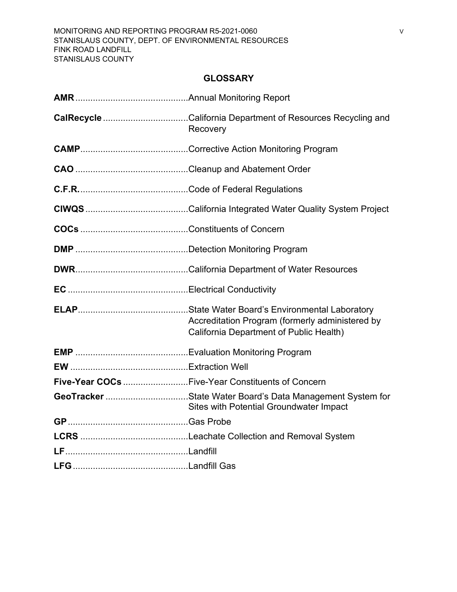## **GLOSSARY**

<span id="page-6-0"></span>

| <b>CalRecycle</b> California Department of Resources Recycling and<br>Recovery                              |
|-------------------------------------------------------------------------------------------------------------|
|                                                                                                             |
|                                                                                                             |
|                                                                                                             |
|                                                                                                             |
|                                                                                                             |
|                                                                                                             |
|                                                                                                             |
|                                                                                                             |
| Accreditation Program (formerly administered by<br>California Department of Public Health)                  |
|                                                                                                             |
|                                                                                                             |
| Five-Year COCs Five-Year Constituents of Concern                                                            |
| GeoTracker State Water Board's Data Management System for<br><b>Sites with Potential Groundwater Impact</b> |
|                                                                                                             |
|                                                                                                             |
|                                                                                                             |
|                                                                                                             |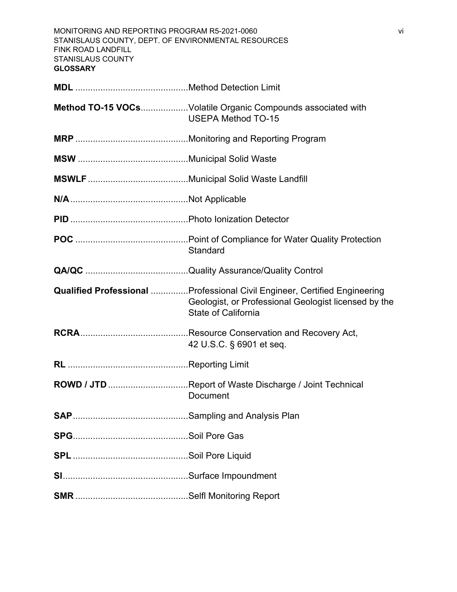| MONITORING AND REPORTING PROGRAM R5-2021-0060<br>vi<br>STANISLAUS COUNTY, DEPT. OF ENVIRONMENTAL RESOURCES<br>FINK ROAD LANDFILL<br><b>STANISLAUS COUNTY</b><br><b>GLOSSARY</b> |                                                                                                                                                                         |  |  |  |
|---------------------------------------------------------------------------------------------------------------------------------------------------------------------------------|-------------------------------------------------------------------------------------------------------------------------------------------------------------------------|--|--|--|
|                                                                                                                                                                                 |                                                                                                                                                                         |  |  |  |
|                                                                                                                                                                                 | Method TO-15 VOCsVolatile Organic Compounds associated with<br><b>USEPA Method TO-15</b>                                                                                |  |  |  |
|                                                                                                                                                                                 |                                                                                                                                                                         |  |  |  |
|                                                                                                                                                                                 |                                                                                                                                                                         |  |  |  |
|                                                                                                                                                                                 |                                                                                                                                                                         |  |  |  |
|                                                                                                                                                                                 |                                                                                                                                                                         |  |  |  |
|                                                                                                                                                                                 |                                                                                                                                                                         |  |  |  |
|                                                                                                                                                                                 | Standard                                                                                                                                                                |  |  |  |
|                                                                                                                                                                                 |                                                                                                                                                                         |  |  |  |
|                                                                                                                                                                                 | <b>Qualified Professional </b> Professional Civil Engineer, Certified Engineering<br>Geologist, or Professional Geologist licensed by the<br><b>State of California</b> |  |  |  |
|                                                                                                                                                                                 | 42 U.S.C. § 6901 et seq.                                                                                                                                                |  |  |  |
|                                                                                                                                                                                 |                                                                                                                                                                         |  |  |  |
|                                                                                                                                                                                 | ROWD / JTD Report of Waste Discharge / Joint Technical<br>Document                                                                                                      |  |  |  |
|                                                                                                                                                                                 |                                                                                                                                                                         |  |  |  |
|                                                                                                                                                                                 |                                                                                                                                                                         |  |  |  |
|                                                                                                                                                                                 |                                                                                                                                                                         |  |  |  |
|                                                                                                                                                                                 |                                                                                                                                                                         |  |  |  |
|                                                                                                                                                                                 |                                                                                                                                                                         |  |  |  |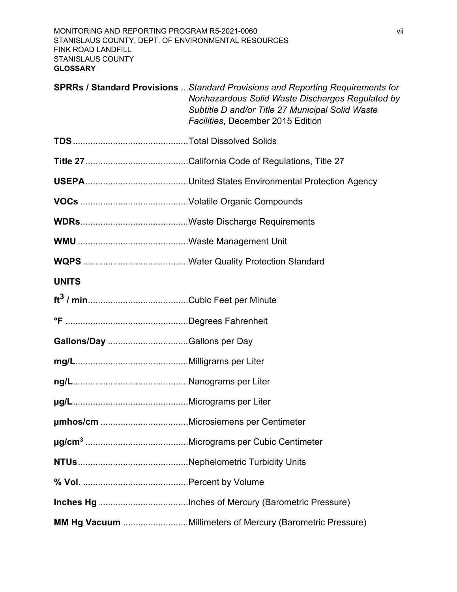|                             | <b>SPRRs / Standard Provisions</b> Standard Provisions and Reporting Requirements for<br>Nonhazardous Solid Waste Discharges Regulated by<br>Subtitle D and/or Title 27 Municipal Solid Waste<br>Facilities, December 2015 Edition |
|-----------------------------|------------------------------------------------------------------------------------------------------------------------------------------------------------------------------------------------------------------------------------|
|                             |                                                                                                                                                                                                                                    |
|                             |                                                                                                                                                                                                                                    |
|                             |                                                                                                                                                                                                                                    |
|                             |                                                                                                                                                                                                                                    |
|                             |                                                                                                                                                                                                                                    |
|                             |                                                                                                                                                                                                                                    |
|                             |                                                                                                                                                                                                                                    |
| <b>UNITS</b>                |                                                                                                                                                                                                                                    |
|                             |                                                                                                                                                                                                                                    |
|                             |                                                                                                                                                                                                                                    |
| Gallons/Day Gallons per Day |                                                                                                                                                                                                                                    |
|                             |                                                                                                                                                                                                                                    |
|                             |                                                                                                                                                                                                                                    |
|                             |                                                                                                                                                                                                                                    |
|                             |                                                                                                                                                                                                                                    |
|                             |                                                                                                                                                                                                                                    |
|                             |                                                                                                                                                                                                                                    |
|                             |                                                                                                                                                                                                                                    |
|                             |                                                                                                                                                                                                                                    |
|                             | MM Hg Vacuum Millimeters of Mercury (Barometric Pressure)                                                                                                                                                                          |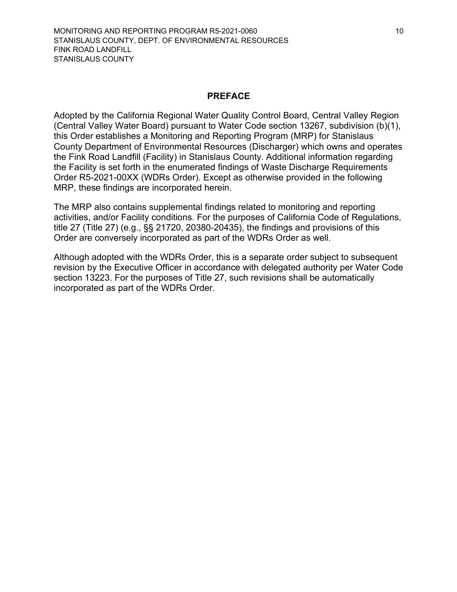#### **PREFACE**

<span id="page-9-0"></span>Adopted by the California Regional Water Quality Control Board, Central Valley Region (Central Valley Water Board) pursuant to Water Code section 13267, subdivision (b)(1), this Order establishes a Monitoring and Reporting Program (MRP) for Stanislaus County Department of Environmental Resources (Discharger) which owns and operates the Fink Road Landfill (Facility) in Stanislaus County. Additional information regarding the Facility is set forth in the enumerated findings of Waste Discharge Requirements Order R5-2021-00XX (WDRs Order). Except as otherwise provided in the following MRP, these findings are incorporated herein.

The MRP also contains supplemental findings related to monitoring and reporting activities, and/or Facility conditions. For the purposes of California Code of Regulations, title 27 (Title 27) (e.g., §§ 21720, 20380-20435), the findings and provisions of this Order are conversely incorporated as part of the WDRs Order as well.

Although adopted with the WDRs Order, this is a separate order subject to subsequent revision by the Executive Officer in accordance with delegated authority per Water Code section 13223. For the purposes of Title 27, such revisions shall be automatically incorporated as part of the WDRs Order.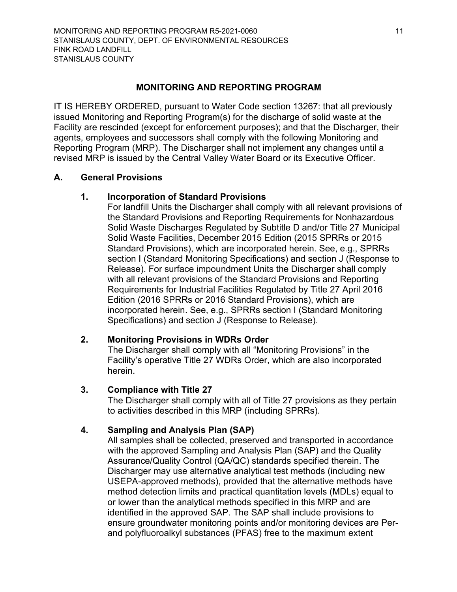## **MONITORING AND REPORTING PROGRAM**

<span id="page-10-0"></span>IT IS HEREBY ORDERED, pursuant to Water Code section 13267: that all previously issued Monitoring and Reporting Program(s) for the discharge of solid waste at the Facility are rescinded (except for enforcement purposes); and that the Discharger, their agents, employees and successors shall comply with the following Monitoring and Reporting Program (MRP). The Discharger shall not implement any changes until a revised MRP is issued by the Central Valley Water Board or its Executive Officer.

## **A. General Provisions**

## <span id="page-10-2"></span><span id="page-10-1"></span>**1. Incorporation of Standard Provisions**

For landfill Units the Discharger shall comply with all relevant provisions of the Standard Provisions and Reporting Requirements for Nonhazardous Solid Waste Discharges Regulated by Subtitle D and/or Title 27 Municipal Solid Waste Facilities, December 2015 Edition (2015 SPRRs or 2015 Standard Provisions), which are incorporated herein. See, e.g., SPRRs section I (Standard Monitoring Specifications) and section J (Response to Release). For surface impoundment Units the Discharger shall comply with all relevant provisions of the Standard Provisions and Reporting Requirements for Industrial Facilities Regulated by Title 27 April 2016 Edition (2016 SPRRs or 2016 Standard Provisions), which are incorporated herein. See, e.g., SPRRs section I (Standard Monitoring Specifications) and section J (Response to Release).

## <span id="page-10-3"></span>**2. Monitoring Provisions in WDRs Order**

The Discharger shall comply with all "Monitoring Provisions" in the Facility's operative Title 27 WDRs Order, which are also incorporated herein.

## <span id="page-10-4"></span>**3. Compliance with Title 27**

The Discharger shall comply with all of Title 27 provisions as they pertain to activities described in this MRP (including SPRRs).

## <span id="page-10-5"></span>**4. Sampling and Analysis Plan (SAP)**

All samples shall be collected, preserved and transported in accordance with the approved Sampling and Analysis Plan (SAP) and the Quality Assurance/Quality Control (QA/QC) standards specified therein. The Discharger may use alternative analytical test methods (including new USEPA-approved methods), provided that the alternative methods have method detection limits and practical quantitation levels (MDLs) equal to or lower than the analytical methods specified in this MRP and are identified in the approved SAP. The SAP shall include provisions to ensure groundwater monitoring points and/or monitoring devices are Perand polyfluoroalkyl substances (PFAS) free to the maximum extent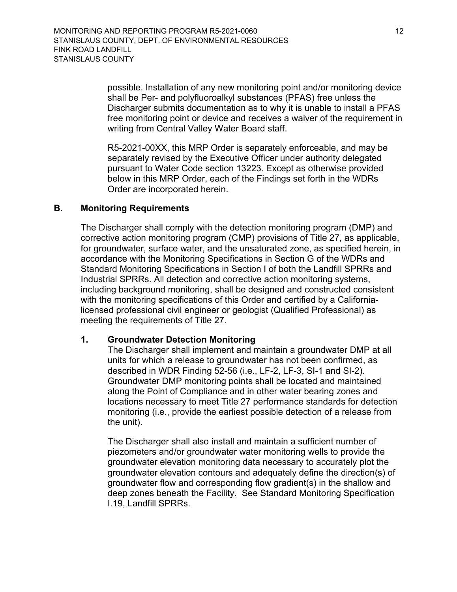> possible. Installation of any new monitoring point and/or monitoring device shall be Per- and polyfluoroalkyl substances (PFAS) free unless the Discharger submits documentation as to why it is unable to install a PFAS free monitoring point or device and receives a waiver of the requirement in writing from Central Valley Water Board staff.

R5-2021-00XX, this MRP Order is separately enforceable, and may be separately revised by the Executive Officer under authority delegated pursuant to Water Code section 13223. Except as otherwise provided below in this MRP Order, each of the Findings set forth in the WDRs Order are incorporated herein.

#### **B. Monitoring Requirements**

<span id="page-11-0"></span>The Discharger shall comply with the detection monitoring program (DMP) and corrective action monitoring program (CMP) provisions of Title 27, as applicable, for groundwater, surface water, and the unsaturated zone, as specified herein, in accordance with the Monitoring Specifications in Section G of the WDRs and Standard Monitoring Specifications in Section I of both the Landfill SPRRs and Industrial SPRRs. All detection and corrective action monitoring systems, including background monitoring, shall be designed and constructed consistent with the monitoring specifications of this Order and certified by a Californialicensed professional civil engineer or geologist (Qualified Professional) as meeting the requirements of Title 27.

#### <span id="page-11-1"></span>**1. Groundwater Detection Monitoring**

The Discharger shall implement and maintain a groundwater DMP at all units for which a release to groundwater has not been confirmed, as described in WDR Finding 52-56 (i.e., LF-2, LF-3, SI-1 and SI-2). Groundwater DMP monitoring points shall be located and maintained along the Point of Compliance and in other water bearing zones and locations necessary to meet Title 27 performance standards for detection monitoring (i.e., provide the earliest possible detection of a release from the unit).

The Discharger shall also install and maintain a sufficient number of piezometers and/or groundwater water monitoring wells to provide the groundwater elevation monitoring data necessary to accurately plot the groundwater elevation contours and adequately define the direction(s) of groundwater flow and corresponding flow gradient(s) in the shallow and deep zones beneath the Facility. See Standard Monitoring Specification I.19, Landfill SPRRs.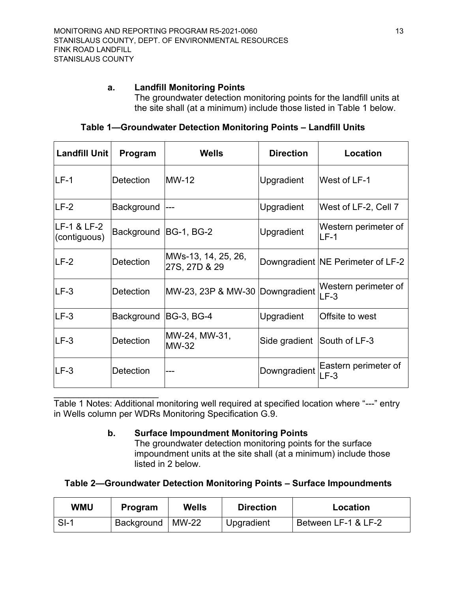## <span id="page-12-0"></span>**a. Landfill Monitoring Points**

The groundwater detection monitoring points for the landfill units at the site shall (at a minimum) include those listed in Table 1 below.

<span id="page-12-2"></span>

| Landfill Unit               | Program               | <b>Wells</b>                         | <b>Direction</b>            | <b>Location</b>                   |
|-----------------------------|-----------------------|--------------------------------------|-----------------------------|-----------------------------------|
| ILF-1                       | <b>Detection</b>      | <b>MW-12</b>                         | <b>Upgradient</b>           | West of LF-1                      |
| $LF-2$                      | Background            | $---$                                | Upgradient                  | West of LF-2, Cell 7              |
| LF-1 & LF-2<br>(contiguous) | Background BG-1, BG-2 |                                      | Upgradient                  | Western perimeter of<br>LF-1      |
| LF-2                        | <b>Detection</b>      | MWs-13, 14, 25, 26,<br>27S, 27D & 29 |                             | Downgradient NE Perimeter of LF-2 |
| $LF-3$                      | Detection             | MW-23, 23P & MW-30 Downgradient      |                             | Western perimeter of<br>$LF-3$    |
| $LE-3$                      | Background            | <b>BG-3, BG-4</b>                    | <b>Upgradient</b>           | Offsite to west                   |
| $LF-3$                      | <b>Detection</b>      | MW-24, MW-31,<br><b>MW-32</b>        | Side gradient South of LF-3 |                                   |
| $LF-3$                      | <b>Detection</b>      |                                      | Downgradient                | Eastern perimeter of<br>$LF-3$    |

## **Table 1—Groundwater Detection Monitoring Points – Landfill Units**

 $\overline{\phantom{a}}$  , where  $\overline{\phantom{a}}$  , where  $\overline{\phantom{a}}$  , where  $\overline{\phantom{a}}$  ,  $\overline{\phantom{a}}$  ,  $\overline{\phantom{a}}$  ,  $\overline{\phantom{a}}$  ,  $\overline{\phantom{a}}$  ,  $\overline{\phantom{a}}$  ,  $\overline{\phantom{a}}$  ,  $\overline{\phantom{a}}$  ,  $\overline{\phantom{a}}$  ,  $\overline{\phantom{a}}$  ,  $\overline{\phantom{a}}$  ,  $\overline{\phantom$ Table 1 Notes: Additional monitoring well required at specified location where "---" entry in Wells column per WDRs Monitoring Specification G.9.

## <span id="page-12-1"></span>**b. Surface Impoundment Monitoring Points**

The groundwater detection monitoring points for the surface impoundment units at the site shall (at a minimum) include those listed in 2 below.

<span id="page-12-3"></span>**Table 2—Groundwater Detection Monitoring Points – Surface Impoundments**

| <b>WMU</b> | Program    | Wells   | <b>Direction</b> | Location            |
|------------|------------|---------|------------------|---------------------|
| $SI-1$     | Background | $MW-22$ | Upgradient       | Between LF-1 & LF-2 |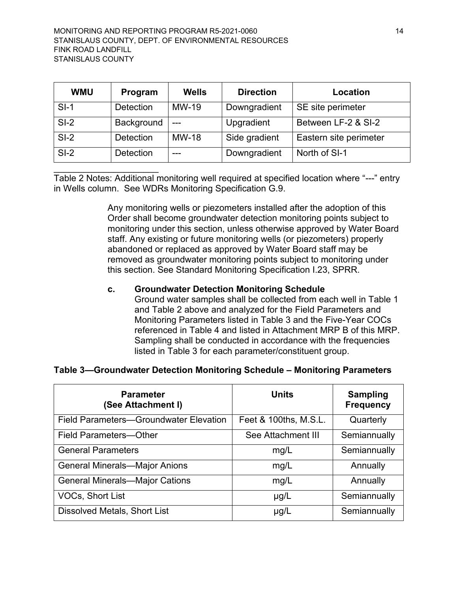| <b>WMU</b> | Program          | <b>Wells</b> | <b>Direction</b> | Location               |
|------------|------------------|--------------|------------------|------------------------|
| $SI-1$     | <b>Detection</b> | MW-19        | Downgradient     | SE site perimeter      |
| $SI-2$     | Background       | $---$        | Upgradient       | Between LF-2 & SI-2    |
| $SI-2$     | <b>Detection</b> | <b>MW-18</b> | Side gradient    | Eastern site perimeter |
| $SI-2$     | <b>Detection</b> |              | Downgradient     | North of SI-1          |

 $\overline{\phantom{a}}$  , where  $\overline{\phantom{a}}$  , where  $\overline{\phantom{a}}$ Table 2 Notes: Additional monitoring well required at specified location where "---" entry in Wells column. See WDRs Monitoring Specification G.9.

> Any monitoring wells or piezometers installed after the adoption of this Order shall become groundwater detection monitoring points subject to monitoring under this section, unless otherwise approved by Water Board staff. Any existing or future monitoring wells (or piezometers) properly abandoned or replaced as approved by Water Board staff may be removed as groundwater monitoring points subject to monitoring under this section. See Standard Monitoring Specification I.23, SPRR.

## <span id="page-13-0"></span>**c. Groundwater Detection Monitoring Schedule**

Ground water samples shall be collected from each well in Table 1 and Table 2 above and analyzed for the Field Parameters and Monitoring Parameters listed in Table 3 and the Five-Year COCs referenced in Table 4 and listed in Attachment MRP B of this MRP. Sampling shall be conducted in accordance with the frequencies listed in Table 3 for each parameter/constituent group.

<span id="page-13-1"></span>**Table 3—Groundwater Detection Monitoring Schedule – Monitoring Parameters**

| <b>Parameter</b><br>(See Attachment I)        | <b>Units</b>          | <b>Sampling</b><br><b>Frequency</b> |
|-----------------------------------------------|-----------------------|-------------------------------------|
| <b>Field Parameters-Groundwater Elevation</b> | Feet & 100ths, M.S.L. | Quarterly                           |
| <b>Field Parameters-Other</b>                 | See Attachment III    | Semiannually                        |
| <b>General Parameters</b>                     | mg/L                  | Semiannually                        |
| <b>General Minerals-Major Anions</b>          | mg/L                  | Annually                            |
| <b>General Minerals-Major Cations</b>         | mg/L                  | Annually                            |
| <b>VOCs, Short List</b>                       | $\mu$ g/L             | Semiannually                        |
| <b>Dissolved Metals, Short List</b>           | $\mu$ g/L             | Semiannually                        |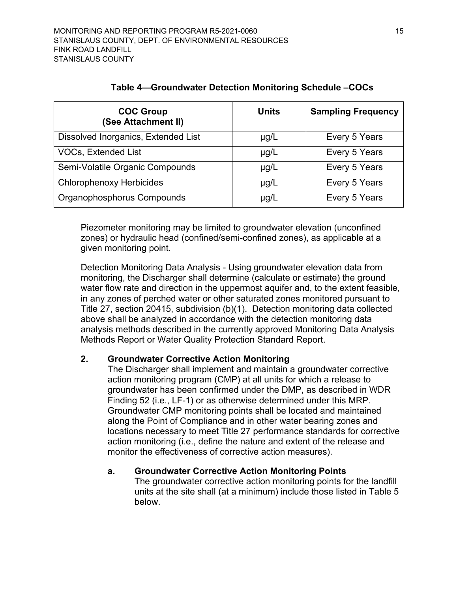<span id="page-14-2"></span>

| <b>COC Group</b><br>(See Attachment II) | Units     | <b>Sampling Frequency</b> |
|-----------------------------------------|-----------|---------------------------|
| Dissolved Inorganics, Extended List     | $\mu$ g/L | Every 5 Years             |
| <b>VOCs, Extended List</b>              | $\mu$ g/L | Every 5 Years             |
| Semi-Volatile Organic Compounds         | $\mu$ g/L | Every 5 Years             |
| <b>Chlorophenoxy Herbicides</b>         | $\mu$ g/L | Every 5 Years             |
| Organophosphorus Compounds              | $\mu$ g/L | Every 5 Years             |

## **Table 4—Groundwater Detection Monitoring Schedule –COCs**

Piezometer monitoring may be limited to groundwater elevation (unconfined zones) or hydraulic head (confined/semi-confined zones), as applicable at a given monitoring point.

Detection Monitoring Data Analysis - Using groundwater elevation data from monitoring, the Discharger shall determine (calculate or estimate) the ground water flow rate and direction in the uppermost aquifer and, to the extent feasible, in any zones of perched water or other saturated zones monitored pursuant to Title 27, section 20415, subdivision (b)(1). Detection monitoring data collected above shall be analyzed in accordance with the detection monitoring data analysis methods described in the currently approved Monitoring Data Analysis Methods Report or Water Quality Protection Standard Report.

## <span id="page-14-0"></span>**2. Groundwater Corrective Action Monitoring**

The Discharger shall implement and maintain a groundwater corrective action monitoring program (CMP) at all units for which a release to groundwater has been confirmed under the DMP, as described in WDR Finding 52 (i.e., LF-1) or as otherwise determined under this MRP. Groundwater CMP monitoring points shall be located and maintained along the Point of Compliance and in other water bearing zones and locations necessary to meet Title 27 performance standards for corrective action monitoring (i.e., define the nature and extent of the release and monitor the effectiveness of corrective action measures).

## <span id="page-14-1"></span>**a. Groundwater Corrective Action Monitoring Points**

The groundwater corrective action monitoring points for the landfill units at the site shall (at a minimum) include those listed in Table 5 below.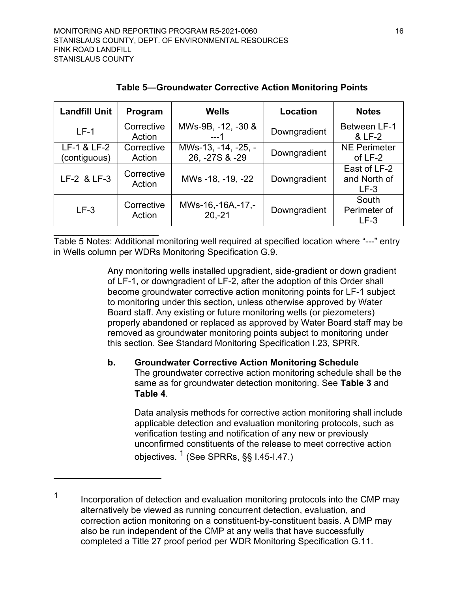<span id="page-15-1"></span>

| Program              | <b>Wells</b>                          | Location     | <b>Notes</b>                           |
|----------------------|---------------------------------------|--------------|----------------------------------------|
| Corrective<br>Action | MWs-9B, -12, -30 &<br>$---1$          | Downgradient | <b>Between LF-1</b><br>& LF-2          |
| Corrective<br>Action | MWs-13, -14, -25, -<br>26, -27S & -29 | Downgradient | <b>NE Perimeter</b><br>of LF-2         |
| Corrective<br>Action | MWs -18, -19, -22                     | Downgradient | East of LF-2<br>and North of<br>$LF-3$ |
| Corrective<br>Action | MWs-16,-16A,-17,-<br>$20, -21$        | Downgradient | South<br>Perimeter of<br>$LF-3$        |
|                      |                                       |              |                                        |

**Table 5—Groundwater Corrective Action Monitoring Points**

Table 5 Notes: Additional monitoring well required at specified location where "---" entry in Wells column per WDRs Monitoring Specification G.9.

> Any monitoring wells installed upgradient, side-gradient or down gradient of LF-1, or downgradient of LF-2, after the adoption of this Order shall become groundwater corrective action monitoring points for LF-1 subject to monitoring under this section, unless otherwise approved by Water Board staff. Any existing or future monitoring wells (or piezometers) properly abandoned or replaced as approved by Water Board staff may be removed as groundwater monitoring points subject to monitoring under this section. See Standard Monitoring Specification I.23, SPRR.

## <span id="page-15-0"></span>**b. Groundwater Corrective Action Monitoring Schedule** The groundwater corrective action monitoring schedule shall be the same as for groundwater detection monitoring. See **Table 3** and **Table 4**.

Data analysis methods for corrective action monitoring shall include applicable detection and evaluation monitoring protocols, such as verification testing and notification of any new or previously unconfirmed constituents of the release to meet corrective action objectives.  $^{\text{1}}$  $^{\text{1}}$  $^{\text{1}}$  (See SPRRs, §§ I.45-I.47.)

<span id="page-15-2"></span><sup>1</sup> Incorporation of detection and evaluation monitoring protocols into the CMP may alternatively be viewed as running concurrent detection, evaluation, and correction action monitoring on a constituent-by-constituent basis. A DMP may also be run independent of the CMP at any wells that have successfully completed a Title 27 proof period per WDR Monitoring Specification G.11.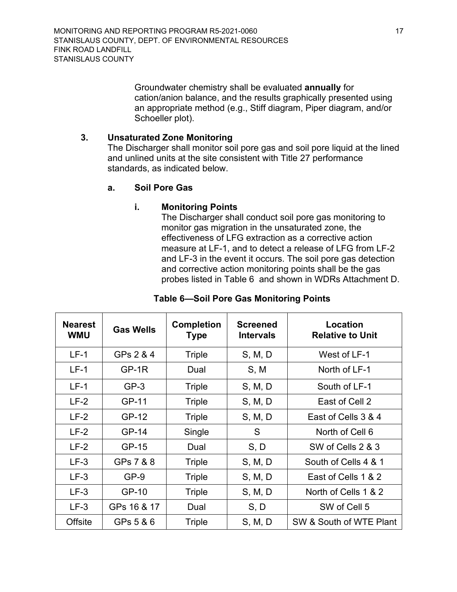Groundwater chemistry shall be evaluated **annually** for cation/anion balance, and the results graphically presented using an appropriate method (e.g., Stiff diagram, Piper diagram, and/or Schoeller plot).

## <span id="page-16-0"></span>**3. Unsaturated Zone Monitoring**

The Discharger shall monitor soil pore gas and soil pore liquid at the lined and unlined units at the site consistent with Title 27 performance standards, as indicated below.

## <span id="page-16-1"></span>**a. Soil Pore Gas**

## **i. Monitoring Points**

The Discharger shall conduct soil pore gas monitoring to monitor gas migration in the unsaturated zone, the effectiveness of LFG extraction as a corrective action measure at LF-1, and to detect a release of LFG from LF-2 and LF-3 in the event it occurs. The soil pore gas detection and corrective action monitoring points shall be the gas probes listed in Table 6 and shown in WDRs Attachment D.

<span id="page-16-2"></span>

| <b>Nearest</b><br><b>WMU</b> | <b>Gas Wells</b> | <b>Completion</b><br><b>Type</b> | <b>Screened</b><br><b>Intervals</b> | Location<br><b>Relative to Unit</b> |
|------------------------------|------------------|----------------------------------|-------------------------------------|-------------------------------------|
| $LF-1$                       | GPs 2 & 4        | Triple                           | S, M, D                             | West of LF-1                        |
| $LF-1$                       | $GP-1R$          | Dual                             | S, M                                | North of LF-1                       |
| $LF-1$                       | $GP-3$           | Triple                           | S, M, D                             | South of LF-1                       |
| $LF-2$                       | GP-11            | Triple                           | S, M, D                             | East of Cell 2                      |
| $LF-2$                       | GP-12            | Triple                           | S, M, D                             | East of Cells 3 & 4                 |
| $LF-2$                       | GP-14            | Single                           | S                                   | North of Cell 6                     |
| $LF-2$                       | GP-15            | Dual                             | S, D                                | SW of Cells 2 & 3                   |
| $LF-3$                       | GPs 7 & 8        | Triple                           | S, M, D                             | South of Cells 4 & 1                |
| $LF-3$                       | $GP-9$           | Triple                           | S, M, D                             | East of Cells 1 & 2                 |
| $LF-3$                       | GP-10            | Triple                           | S, M, D                             | North of Cells 1 & 2                |
| $LF-3$                       | GPs 16 & 17      | Dual                             | S, D                                | SW of Cell 5                        |
| Offsite                      | GPs 5 & 6        | <b>Triple</b>                    | S, M, D                             | SW & South of WTE Plant             |

## **Table 6—Soil Pore Gas Monitoring Points**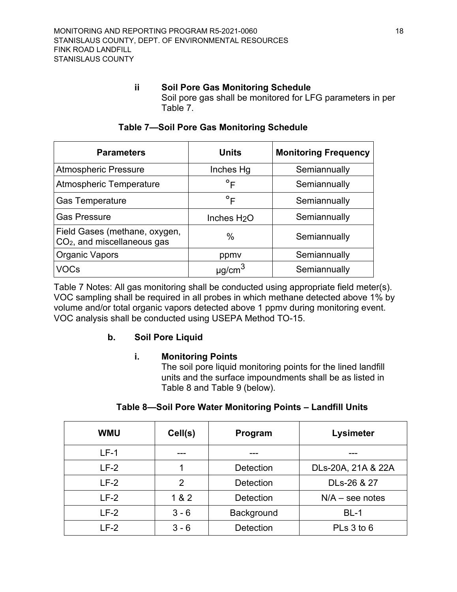#### **ii Soil Pore Gas Monitoring Schedule**

Soil pore gas shall be monitored for LFG parameters in per Table 7.

<span id="page-17-1"></span>

| <b>Parameters</b>                                              | <b>Units</b>            | <b>Monitoring Frequency</b> |
|----------------------------------------------------------------|-------------------------|-----------------------------|
| <b>Atmospheric Pressure</b>                                    | Inches Hg               | Semiannually                |
| Atmospheric Temperature                                        | $\circ$ F               | Semiannually                |
| <b>Gas Temperature</b>                                         | $\circ$ F               | Semiannually                |
| <b>Gas Pressure</b>                                            | Inches H <sub>2</sub> O | Semiannually                |
| Field Gases (methane, oxygen,<br>$CO2$ , and miscellaneous gas | $\%$                    | Semiannually                |
| Organic Vapors                                                 | ppmy                    | Semiannually                |
| VOCs                                                           |                         | Semiannually                |

## **Table 7—Soil Pore Gas Monitoring Schedule**

Table 7 Notes: All gas monitoring shall be conducted using appropriate field meter(s). VOC sampling shall be required in all probes in which methane detected above 1% by volume and/or total organic vapors detected above 1 ppmv during monitoring event. VOC analysis shall be conducted using USEPA Method TO-15.

## <span id="page-17-0"></span>**b. Soil Pore Liquid**

## **i. Monitoring Points**

The soil pore liquid monitoring points for the lined landfill units and the surface impoundments shall be as listed in Table 8 and Table 9 (below).

<span id="page-17-2"></span>

| <b>WMU</b> | Cell(s)        | Program           | Lysimeter          |
|------------|----------------|-------------------|--------------------|
| $LF-1$     |                |                   |                    |
| $LF-2$     |                | <b>Detection</b>  | DLs-20A, 21A & 22A |
| $LF-2$     | $\overline{2}$ | <b>Detection</b>  | DLs-26 & 27        |
| $LF-2$     | 1 & 2          | <b>Detection</b>  | $N/A$ – see notes  |
| $LF-2$     | $3 - 6$        | <b>Background</b> | $BL-1$             |
| $LF-2$     | $3 - 6$        | <b>Detection</b>  | PLs 3 to 6         |

## **Table 8—Soil Pore Water Monitoring Points – Landfill Units**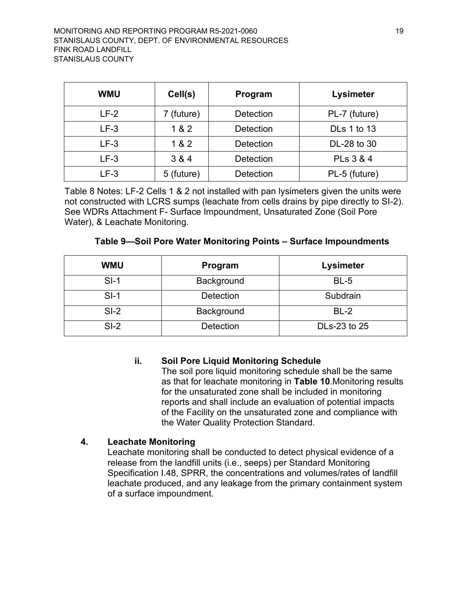| <b>WMU</b> | Cell(s)    | Program          | Lysimeter          |
|------------|------------|------------------|--------------------|
| $LF-2$     | 7 (future) | <b>Detection</b> | PL-7 (future)      |
| $LF-3$     | 1 & 2      | <b>Detection</b> | <b>DLs 1 to 13</b> |
| $LF-3$     | 1 & 2      | <b>Detection</b> | DL-28 to 30        |
| $LF-3$     | 3 & 4      | <b>Detection</b> | PLs 3 & 4          |
| LF-3       | 5 (future) | <b>Detection</b> | PL-5 (future)      |

Table 8 Notes: LF-2 Cells 1 & 2 not installed with pan lysimeters given the units were not constructed with LCRS sumps (leachate from cells drains by pipe directly to SI-2). See WDRs Attachment F- Surface Impoundment, Unsaturated Zone (Soil Pore Water), & Leachate Monitoring.

<span id="page-18-1"></span>

| <b>WMU</b> | Program          | Lysimeter    |
|------------|------------------|--------------|
| $SI-1$     | Background       | $BL-5$       |
| $SI-1$     | <b>Detection</b> | Subdrain     |
| $SI-2$     | Background       | $BL-2$       |
| $SI-2$     | <b>Detection</b> | DLs-23 to 25 |

## **Table 9—Soil Pore Water Monitoring Points – Surface Impoundments**

## **ii. Soil Pore Liquid Monitoring Schedule**

The soil pore liquid monitoring schedule shall be the same as that for leachate monitoring in **Table 10**.Monitoring results for the unsaturated zone shall be included in monitoring reports and shall include an evaluation of potential impacts of the Facility on the unsaturated zone and compliance with the Water Quality Protection Standard.

## <span id="page-18-0"></span>**4. Leachate Monitoring**

Leachate monitoring shall be conducted to detect physical evidence of a release from the landfill units (i.e., seeps) per Standard Monitoring Specification I.48, SPRR, the concentrations and volumes/rates of landfill leachate produced, and any leakage from the primary containment system of a surface impoundment.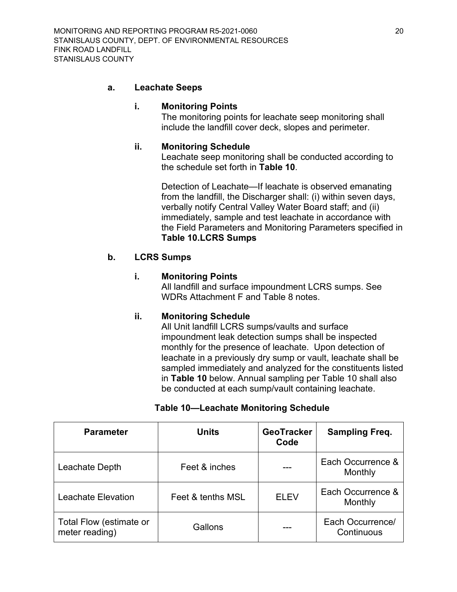#### <span id="page-19-0"></span>**a. Leachate Seeps**

#### **i. Monitoring Points**

The monitoring points for leachate seep monitoring shall include the landfill cover deck, slopes and perimeter.

#### **ii. Monitoring Schedule**

Leachate seep monitoring shall be conducted according to the schedule set forth in **Table 10**.

Detection of Leachate—If leachate is observed emanating from the landfill, the Discharger shall: (i) within seven days, verbally notify Central Valley Water Board staff; and (ii) immediately, sample and test leachate in accordance with the Field Parameters and Monitoring Parameters specified in **Table 10.LCRS Sumps**

## <span id="page-19-1"></span>**b. LCRS Sumps**

#### **i. Monitoring Points**

All landfill and surface impoundment LCRS sumps. See WDRs Attachment F and Table 8 notes.

## **ii. Monitoring Schedule**

All Unit landfill LCRS sumps/vaults and surface impoundment leak detection sumps shall be inspected monthly for the presence of leachate. Upon detection of leachate in a previously dry sump or vault, leachate shall be sampled immediately and analyzed for the constituents listed in **Table 10** below. Annual sampling per Table 10 shall also be conducted at each sump/vault containing leachate.

## **Table 10—Leachate Monitoring Schedule**

<span id="page-19-2"></span>

| <b>Parameter</b>                          | <b>Units</b>      | <b>GeoTracker</b><br>Code | <b>Sampling Freq.</b>          |
|-------------------------------------------|-------------------|---------------------------|--------------------------------|
| Leachate Depth                            | Feet & inches     |                           | Each Occurrence &<br>Monthly   |
| Leachate Elevation                        | Feet & tenths MSL | <b>ELEV</b>               | Each Occurrence &<br>Monthly   |
| Total Flow (estimate or<br>meter reading) | Gallons           |                           | Each Occurrence/<br>Continuous |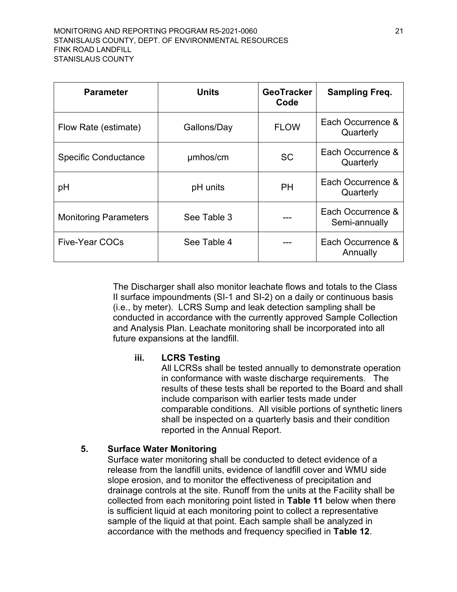| <b>Parameter</b>             | <b>Units</b> | <b>GeoTracker</b><br>Code | <b>Sampling Freq.</b>              |
|------------------------------|--------------|---------------------------|------------------------------------|
| Flow Rate (estimate)         | Gallons/Day  | <b>FLOW</b>               | Each Occurrence &<br>Quarterly     |
| <b>Specific Conductance</b>  | umhos/cm     | <b>SC</b>                 | Each Occurrence &<br>Quarterly     |
| pH                           | pH units     | PH                        | Each Occurrence &<br>Quarterly     |
| <b>Monitoring Parameters</b> | See Table 3  |                           | Each Occurrence &<br>Semi-annually |
| <b>Five-Year COCs</b>        | See Table 4  |                           | Each Occurrence &<br>Annually      |

The Discharger shall also monitor leachate flows and totals to the Class II surface impoundments (SI-1 and SI-2) on a daily or continuous basis (i.e., by meter). LCRS Sump and leak detection sampling shall be conducted in accordance with the currently approved Sample Collection and Analysis Plan. Leachate monitoring shall be incorporated into all future expansions at the landfill.

## **iii. LCRS Testing**

All LCRSs shall be tested annually to demonstrate operation in conformance with waste discharge requirements. The results of these tests shall be reported to the Board and shall include comparison with earlier tests made under comparable conditions. All visible portions of synthetic liners shall be inspected on a quarterly basis and their condition reported in the Annual Report.

## <span id="page-20-0"></span>**5. Surface Water Monitoring**

Surface water monitoring shall be conducted to detect evidence of a release from the landfill units, evidence of landfill cover and WMU side slope erosion, and to monitor the effectiveness of precipitation and drainage controls at the site. Runoff from the units at the Facility shall be collected from each monitoring point listed in **Table 11** below when there is sufficient liquid at each monitoring point to collect a representative sample of the liquid at that point. Each sample shall be analyzed in accordance with the methods and frequency specified in **Table 12**.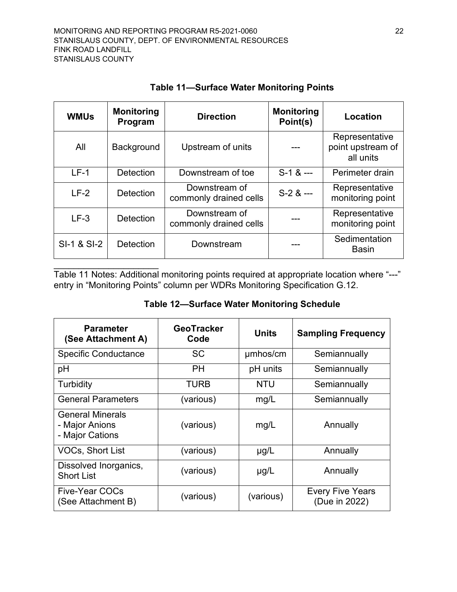$\overline{\phantom{a}}$  , where  $\overline{\phantom{a}}$  , where  $\overline{\phantom{a}}$  , where  $\overline{\phantom{a}}$  ,  $\overline{\phantom{a}}$  ,  $\overline{\phantom{a}}$  ,  $\overline{\phantom{a}}$  ,  $\overline{\phantom{a}}$  ,  $\overline{\phantom{a}}$  ,  $\overline{\phantom{a}}$  ,  $\overline{\phantom{a}}$  ,  $\overline{\phantom{a}}$  ,  $\overline{\phantom{a}}$  ,  $\overline{\phantom{a}}$  ,  $\overline{\phantom$ 

<span id="page-21-0"></span>

| <b>WMUs</b> | <b>Monitoring</b><br>Program | <b>Direction</b>                                        | <b>Monitoring</b><br>Point(s) | Location                                         |
|-------------|------------------------------|---------------------------------------------------------|-------------------------------|--------------------------------------------------|
| All         | Background                   | Upstream of units                                       |                               | Representative<br>point upstream of<br>all units |
| $LF-1$      | Detection                    | Downstream of toe                                       | $S-1$ & $--$                  | Perimeter drain                                  |
| $LF-2$      | <b>Detection</b>             | Downstream of<br>$S-2$ & $--$<br>commonly drained cells |                               | Representative<br>monitoring point               |
| $LF-3$      | <b>Detection</b>             | Downstream of<br>commonly drained cells                 |                               | Representative<br>monitoring point               |
| SI-1 & SI-2 | <b>Detection</b>             | Downstream                                              |                               | Sedimentation<br><b>Basin</b>                    |

# **Table 11—Surface Water Monitoring Points**

Table 11 Notes: Additional monitoring points required at appropriate location where "---" entry in "Monitoring Points" column per WDRs Monitoring Specification G.12.

# **Table 12—Surface Water Monitoring Schedule**

<span id="page-21-1"></span>

| <b>Parameter</b><br>(See Attachment A)                       | <b>GeoTracker</b><br>Code | <b>Units</b> | <b>Sampling Frequency</b>                |
|--------------------------------------------------------------|---------------------------|--------------|------------------------------------------|
| <b>Specific Conductance</b>                                  | <b>SC</b>                 | umhos/cm     | Semiannually                             |
| pH                                                           | PH                        | pH units     | Semiannually                             |
| Turbidity                                                    | TURB                      | <b>NTU</b>   | Semiannually                             |
| <b>General Parameters</b>                                    | (various)                 | mg/L         | Semiannually                             |
| <b>General Minerals</b><br>- Major Anions<br>- Major Cations | (various)                 | mg/L         | Annually                                 |
| <b>VOCs, Short List</b>                                      | (various)                 | $\mu$ g/L    | Annually                                 |
| Dissolved Inorganics,<br><b>Short List</b>                   | (various)                 | $\mu$ g/L    | Annually                                 |
| <b>Five-Year COCs</b><br>(See Attachment B)                  | (various)                 | (various)    | <b>Every Five Years</b><br>(Due in 2022) |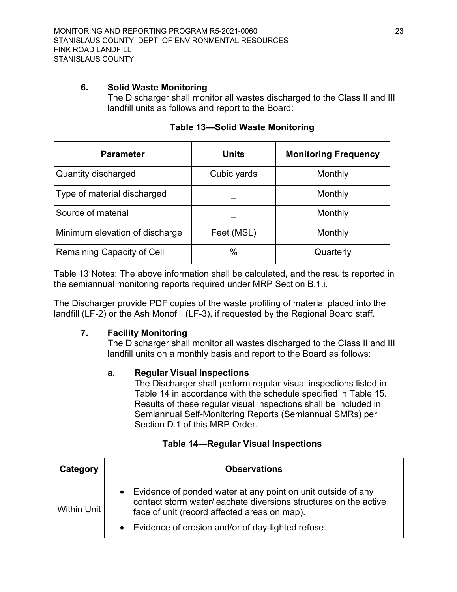#### <span id="page-22-0"></span>**6. Solid Waste Monitoring**

The Discharger shall monitor all wastes discharged to the Class II and III landfill units as follows and report to the Board:

<span id="page-22-3"></span>

| <b>Parameter</b>               | <b>Units</b> | <b>Monitoring Frequency</b> |
|--------------------------------|--------------|-----------------------------|
| Quantity discharged            | Cubic yards  | Monthly                     |
| Type of material discharged    |              | Monthly                     |
| Source of material             |              | Monthly                     |
| Minimum elevation of discharge | Feet (MSL)   | Monthly                     |
| Remaining Capacity of Cell     | $\%$         | Quarterly                   |

|  |  |  | <b>Table 13-Solid Waste Monitoring</b> |
|--|--|--|----------------------------------------|
|--|--|--|----------------------------------------|

Table 13 Notes: The above information shall be calculated, and the results reported in the semiannual monitoring reports required under MRP Section B.1.i.

The Discharger provide PDF copies of the waste profiling of material placed into the landfill (LF-2) or the Ash Monofill (LF-3), if requested by the Regional Board staff.

## <span id="page-22-2"></span><span id="page-22-1"></span>**7. Facility Monitoring**

The Discharger shall monitor all wastes discharged to the Class II and III landfill units on a monthly basis and report to the Board as follows:

## **a. Regular Visual Inspections**

The Discharger shall perform regular visual inspections listed in Table 14 in accordance with the schedule specified in Table 15. Results of these regular visual inspections shall be included in Semiannual Self-Monitoring Reports (Semiannual SMRs) per Section D.1 of this MRP Order.

## **Table 14—Regular Visual Inspections**

<span id="page-22-4"></span>

| Category    | <b>Observations</b>                                                                                                                                                                                                                       |
|-------------|-------------------------------------------------------------------------------------------------------------------------------------------------------------------------------------------------------------------------------------------|
| Within Unit | • Evidence of ponded water at any point on unit outside of any<br>contact storm water/leachate diversions structures on the active<br>face of unit (record affected areas on map).<br>• Evidence of erosion and/or of day-lighted refuse. |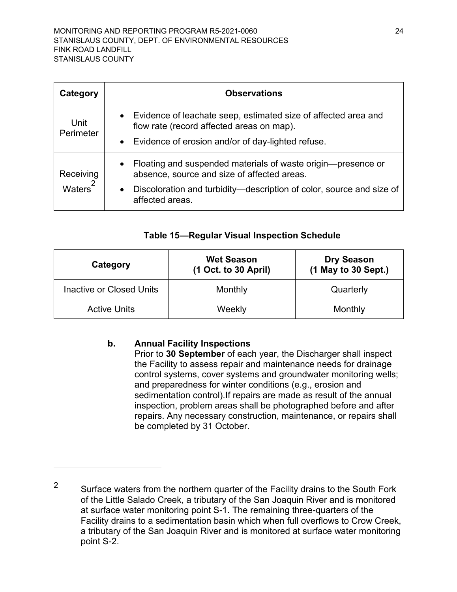| Category                        | <b>Observations</b>                                                                                                      |
|---------------------------------|--------------------------------------------------------------------------------------------------------------------------|
| Unit<br>Perimeter               | • Evidence of leachate seep, estimated size of affected area and<br>flow rate (record affected areas on map).            |
|                                 | • Evidence of erosion and/or of day-lighted refuse.                                                                      |
| Receiving<br>2<br><b>Waters</b> | Floating and suspended materials of waste origin—presence or<br>$\bullet$<br>absence, source and size of affected areas. |
|                                 | Discoloration and turbidity—description of color, source and size of<br>$\bullet$<br>affected areas.                     |

## **Table 15—Regular Visual Inspection Schedule**

<span id="page-23-1"></span>

| Category                        | <b>Wet Season</b><br>$(1$ Oct. to 30 April) | <b>Dry Season</b><br>(1 May to 30 Sept.) |
|---------------------------------|---------------------------------------------|------------------------------------------|
| <b>Inactive or Closed Units</b> | Monthly                                     | Quarterly                                |
| <b>Active Units</b>             | Weekly                                      | Monthly                                  |

## <span id="page-23-0"></span>**b. Annual Facility Inspections**

Prior to **30 September** of each year, the Discharger shall inspect the Facility to assess repair and maintenance needs for drainage control systems, cover systems and groundwater monitoring wells; and preparedness for winter conditions (e.g., erosion and sedimentation control).If repairs are made as result of the annual inspection, problem areas shall be photographed before and after repairs. Any necessary construction, maintenance, or repairs shall be completed by 31 October.

<span id="page-23-2"></span><sup>&</sup>lt;sup>2</sup> Surface waters from the northern quarter of the Facility drains to the South Fork of the Little Salado Creek, a tributary of the San Joaquin River and is monitored at surface water monitoring point S-1. The remaining three-quarters of the Facility drains to a sedimentation basin which when full overflows to Crow Creek, a tributary of the San Joaquin River and is monitored at surface water monitoring point S-2.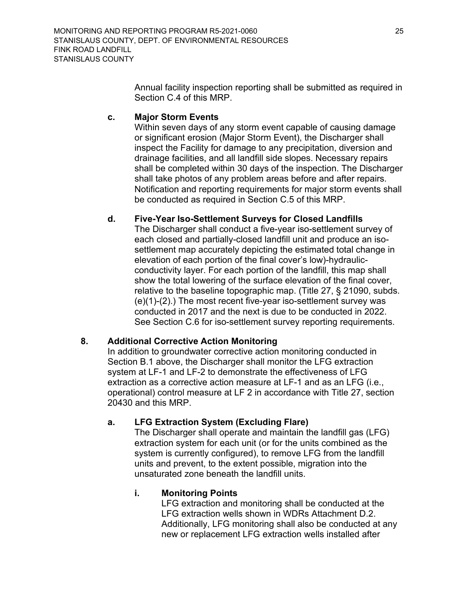Annual facility inspection reporting shall be submitted as required in Section C.4 of this MRP.

## <span id="page-24-0"></span>**c. Major Storm Events**

Within seven days of any storm event capable of causing damage or significant erosion (Major Storm Event), the Discharger shall inspect the Facility for damage to any precipitation, diversion and drainage facilities, and all landfill side slopes. Necessary repairs shall be completed within 30 days of the inspection. The Discharger shall take photos of any problem areas before and after repairs. Notification and reporting requirements for major storm events shall be conducted as required in Section C.5 of this MRP.

# <span id="page-24-1"></span>**d. Five-Year Iso-Settlement Surveys for Closed Landfills**

The Discharger shall conduct a five-year iso-settlement survey of each closed and partially-closed landfill unit and produce an isosettlement map accurately depicting the estimated total change in elevation of each portion of the final cover's low)-hydraulicconductivity layer. For each portion of the landfill, this map shall show the total lowering of the surface elevation of the final cover, relative to the baseline topographic map. (Title 27, § 21090, subds. (e)(1)-(2).) The most recent five-year iso-settlement survey was conducted in 2017 and the next is due to be conducted in 2022. See Section C.6 for iso-settlement survey reporting requirements.

## <span id="page-24-2"></span>**8. Additional Corrective Action Monitoring**

In addition to groundwater corrective action monitoring conducted in Section B.1 above, the Discharger shall monitor the LFG extraction system at LF-1 and LF-2 to demonstrate the effectiveness of LFG extraction as a corrective action measure at LF-1 and as an LFG (i.e., operational) control measure at LF 2 in accordance with Title 27, section 20430 and this MRP.

# <span id="page-24-3"></span>**a. LFG Extraction System (Excluding Flare)**

The Discharger shall operate and maintain the landfill gas (LFG) extraction system for each unit (or for the units combined as the system is currently configured), to remove LFG from the landfill units and prevent, to the extent possible, migration into the unsaturated zone beneath the landfill units.

## **i. Monitoring Points**

LFG extraction and monitoring shall be conducted at the LFG extraction wells shown in WDRs Attachment D.2. Additionally, LFG monitoring shall also be conducted at any new or replacement LFG extraction wells installed after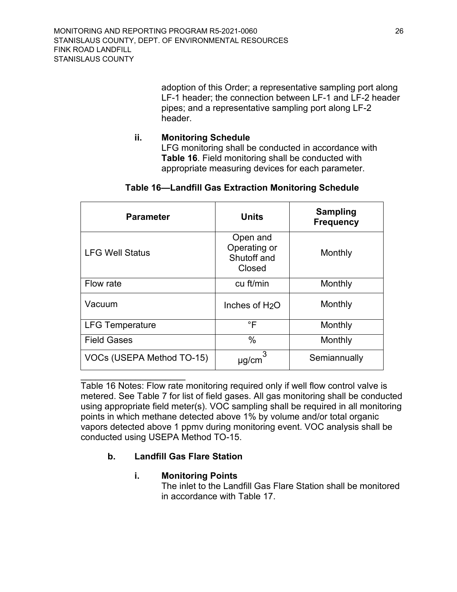adoption of this Order; a representative sampling port along LF-1 header; the connection between LF-1 and LF-2 header pipes; and a representative sampling port along LF-2 header.

## **ii. Monitoring Schedule**

LFG monitoring shall be conducted in accordance with **Table 16**. Field monitoring shall be conducted with appropriate measuring devices for each parameter.

<span id="page-25-1"></span>

| <b>Parameter</b>                 | <b>Units</b>                                      | <b>Sampling</b><br><b>Frequency</b> |
|----------------------------------|---------------------------------------------------|-------------------------------------|
| <b>LFG Well Status</b>           | Open and<br>Operating or<br>Shutoff and<br>Closed | Monthly                             |
| Flow rate                        | cu ft/min                                         | Monthly                             |
| Vacuum                           | Inches of H <sub>2</sub> O                        | Monthly                             |
| <b>LFG Temperature</b>           | °F                                                | Monthly                             |
| <b>Field Gases</b>               | $\%$                                              | Monthly                             |
| <b>VOCs (USEPA Method TO-15)</b> | µg/cm                                             | Semiannually                        |

## **Table 16—Landfill Gas Extraction Monitoring Schedule**

 $\overline{\phantom{a}}$  , where  $\overline{\phantom{a}}$  , where  $\overline{\phantom{a}}$  , where  $\overline{\phantom{a}}$  ,  $\overline{\phantom{a}}$  ,  $\overline{\phantom{a}}$  ,  $\overline{\phantom{a}}$  ,  $\overline{\phantom{a}}$  ,  $\overline{\phantom{a}}$  ,  $\overline{\phantom{a}}$  ,  $\overline{\phantom{a}}$  ,  $\overline{\phantom{a}}$  ,  $\overline{\phantom{a}}$  ,  $\overline{\phantom{a}}$  ,  $\overline{\phantom$ Table 16 Notes: Flow rate monitoring required only if well flow control valve is metered. See Table 7 for list of field gases. All gas monitoring shall be conducted using appropriate field meter(s). VOC sampling shall be required in all monitoring points in which methane detected above 1% by volume and/or total organic vapors detected above 1 ppmv during monitoring event. VOC analysis shall be conducted using USEPA Method TO-15.

# <span id="page-25-0"></span>**b. Landfill Gas Flare Station**

## **i. Monitoring Points**

The inlet to the Landfill Gas Flare Station shall be monitored in accordance with Table 17.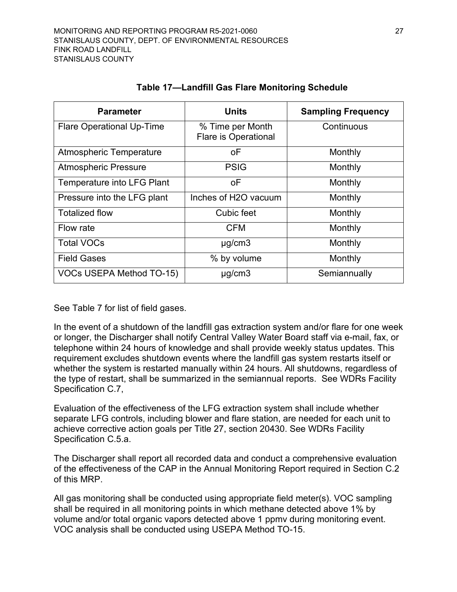<span id="page-26-0"></span>

| <b>Parameter</b>                 | <b>Units</b>                                    | <b>Sampling Frequency</b> |
|----------------------------------|-------------------------------------------------|---------------------------|
| <b>Flare Operational Up-Time</b> | % Time per Month<br><b>Flare is Operational</b> | Continuous                |
| Atmospheric Temperature          | оF                                              | Monthly                   |
| <b>Atmospheric Pressure</b>      | <b>PSIG</b>                                     | Monthly                   |
| Temperature into LFG Plant       | οF                                              | Monthly                   |
| Pressure into the LFG plant      | Inches of H2O vacuum                            | Monthly                   |
| <b>Totalized flow</b>            | Cubic feet                                      | Monthly                   |
| Flow rate                        | <b>CFM</b>                                      | Monthly                   |
| <b>Total VOCs</b>                | $\mu$ g/cm3                                     | Monthly                   |
| <b>Field Gases</b>               | % by volume                                     | Monthly                   |
| <b>VOCs USEPA Method TO-15)</b>  | $\mu$ g/cm3                                     | Semiannually              |

## **Table 17—Landfill Gas Flare Monitoring Schedule**

See Table 7 for list of field gases.

In the event of a shutdown of the landfill gas extraction system and/or flare for one week or longer, the Discharger shall notify Central Valley Water Board staff via e-mail, fax, or telephone within 24 hours of knowledge and shall provide weekly status updates. This requirement excludes shutdown events where the landfill gas system restarts itself or whether the system is restarted manually within 24 hours. All shutdowns, regardless of the type of restart, shall be summarized in the semiannual reports. See WDRs Facility Specification C.7,

Evaluation of the effectiveness of the LFG extraction system shall include whether separate LFG controls, including blower and flare station, are needed for each unit to achieve corrective action goals per Title 27, section 20430. See WDRs Facility Specification C.5.a.

The Discharger shall report all recorded data and conduct a comprehensive evaluation of the effectiveness of the CAP in the Annual Monitoring Report required in Section C.2 of this MRP.

All gas monitoring shall be conducted using appropriate field meter(s). VOC sampling shall be required in all monitoring points in which methane detected above 1% by volume and/or total organic vapors detected above 1 ppmv during monitoring event. VOC analysis shall be conducted using USEPA Method TO-15.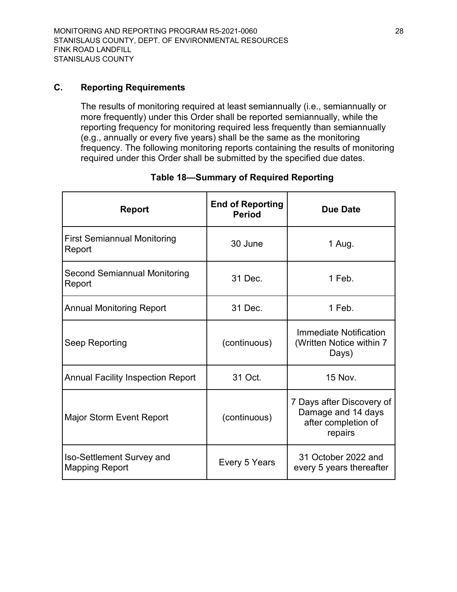## <span id="page-27-0"></span>**C. Reporting Requirements**

The results of monitoring required at least semiannually (i.e., semiannually or more frequently) under this Order shall be reported semiannually, while the reporting frequency for monitoring required less frequently than semiannually (e.g., annually or every five years) shall be the same as the monitoring frequency. The following monitoring reports containing the results of monitoring required under this Order shall be submitted by the specified due dates.

<span id="page-27-1"></span>

| <b>Report</b>                                      | <b>End of Reporting</b><br><b>Period</b> | <b>Due Date</b>                                                                   |
|----------------------------------------------------|------------------------------------------|-----------------------------------------------------------------------------------|
| <b>First Semiannual Monitoring</b><br>Report       | 30 June                                  | 1 Aug.                                                                            |
| Second Semiannual Monitoring<br>Report             | 31 Dec.                                  | 1 Feb.                                                                            |
| <b>Annual Monitoring Report</b>                    | 31 Dec.                                  | 1 Feb.                                                                            |
| Seep Reporting                                     | (continuous)                             | Immediate Notification<br>(Written Notice within 7)<br>Days)                      |
| <b>Annual Facility Inspection Report</b>           | 31 Oct.                                  | <b>15 Nov.</b>                                                                    |
| <b>Major Storm Event Report</b>                    | (continuous)                             | 7 Days after Discovery of<br>Damage and 14 days<br>after completion of<br>repairs |
| Iso-Settlement Survey and<br><b>Mapping Report</b> | Every 5 Years                            | 31 October 2022 and<br>every 5 years thereafter                                   |

## **Table 18—Summary of Required Reporting**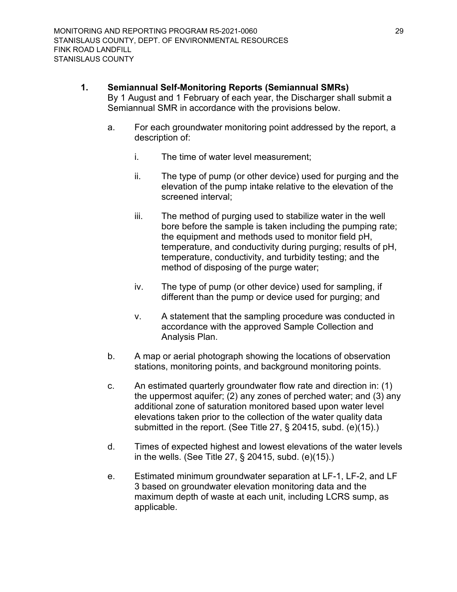#### <span id="page-28-0"></span>**1. Semiannual Self-Monitoring Reports (Semiannual SMRs)**

By 1 August and 1 February of each year, the Discharger shall submit a Semiannual SMR in accordance with the provisions below.

- a. For each groundwater monitoring point addressed by the report, a description of:
	- i. The time of water level measurement;
	- ii. The type of pump (or other device) used for purging and the elevation of the pump intake relative to the elevation of the screened interval;
	- iii. The method of purging used to stabilize water in the well bore before the sample is taken including the pumping rate; the equipment and methods used to monitor field pH, temperature, and conductivity during purging; results of pH, temperature, conductivity, and turbidity testing; and the method of disposing of the purge water;
	- iv. The type of pump (or other device) used for sampling, if different than the pump or device used for purging; and
	- v. A statement that the sampling procedure was conducted in accordance with the approved Sample Collection and Analysis Plan.
- b. A map or aerial photograph showing the locations of observation stations, monitoring points, and background monitoring points.
- c. An estimated quarterly groundwater flow rate and direction in: (1) the uppermost aquifer; (2) any zones of perched water; and (3) any additional zone of saturation monitored based upon water level elevations taken prior to the collection of the water quality data submitted in the report. (See Title 27, § 20415, subd. (e)(15).)
- d. Times of expected highest and lowest elevations of the water levels in the wells. (See Title 27, § 20415, subd. (e)(15).)
- e. Estimated minimum groundwater separation at LF-1, LF-2, and LF 3 based on groundwater elevation monitoring data and the maximum depth of waste at each unit, including LCRS sump, as applicable.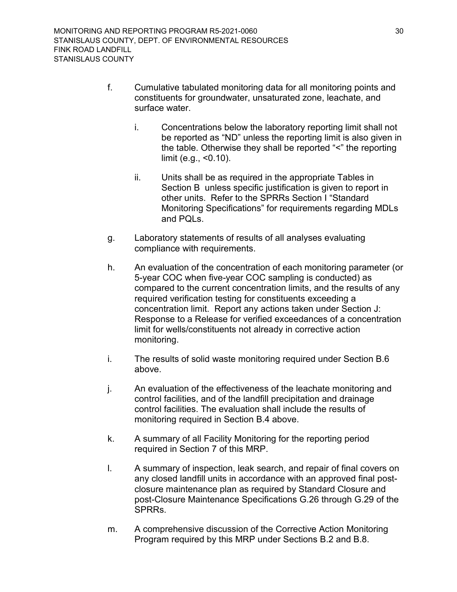- f. Cumulative tabulated monitoring data for all monitoring points and constituents for groundwater, unsaturated zone, leachate, and surface water.
	- i. Concentrations below the laboratory reporting limit shall not be reported as "ND" unless the reporting limit is also given in the table. Otherwise they shall be reported "<" the reporting limit (e.g., <0.10).
	- ii. Units shall be as required in the appropriate Tables in Section B unless specific justification is given to report in other units. Refer to the SPRRs Section I "Standard Monitoring Specifications" for requirements regarding MDLs and PQLs.
- g. Laboratory statements of results of all analyses evaluating compliance with requirements.
- h. An evaluation of the concentration of each monitoring parameter (or 5-year COC when five-year COC sampling is conducted) as compared to the current concentration limits, and the results of any required verification testing for constituents exceeding a concentration limit. Report any actions taken under Section J: Response to a Release for verified exceedances of a concentration limit for wells/constituents not already in corrective action monitoring.
- i. The results of solid waste monitoring required under Section B.6 above.
- j. An evaluation of the effectiveness of the leachate monitoring and control facilities, and of the landfill precipitation and drainage control facilities. The evaluation shall include the results of monitoring required in Section B.4 above.
- k. A summary of all Facility Monitoring for the reporting period required in Section 7 of this MRP.
- l. A summary of inspection, leak search, and repair of final covers on any closed landfill units in accordance with an approved final postclosure maintenance plan as required by Standard Closure and post-Closure Maintenance Specifications G.26 through G.29 of the SPRRs.
- m. A comprehensive discussion of the Corrective Action Monitoring Program required by this MRP under Sections B.2 and B.8.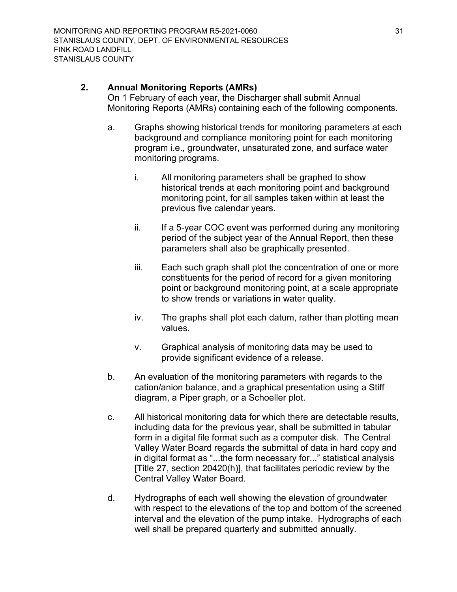## <span id="page-30-0"></span>**2. Annual Monitoring Reports (AMRs)**

On 1 February of each year, the Discharger shall submit Annual Monitoring Reports (AMRs) containing each of the following components.

- a. Graphs showing historical trends for monitoring parameters at each background and compliance monitoring point for each monitoring program i.e., groundwater, unsaturated zone, and surface water monitoring programs.
	- i. All monitoring parameters shall be graphed to show historical trends at each monitoring point and background monitoring point, for all samples taken within at least the previous five calendar years.
	- ii. If a 5-year COC event was performed during any monitoring period of the subject year of the Annual Report, then these parameters shall also be graphically presented.
	- iii. Each such graph shall plot the concentration of one or more constituents for the period of record for a given monitoring point or background monitoring point, at a scale appropriate to show trends or variations in water quality.
	- iv. The graphs shall plot each datum, rather than plotting mean values.
	- v. Graphical analysis of monitoring data may be used to provide significant evidence of a release.
- b. An evaluation of the monitoring parameters with regards to the cation/anion balance, and a graphical presentation using a Stiff diagram, a Piper graph, or a Schoeller plot.
- c. All historical monitoring data for which there are detectable results, including data for the previous year, shall be submitted in tabular form in a digital file format such as a computer disk. The Central Valley Water Board regards the submittal of data in hard copy and in digital format as "...the form necessary for..." statistical analysis [Title 27, section 20420(h)], that facilitates periodic review by the Central Valley Water Board.
- d. Hydrographs of each well showing the elevation of groundwater with respect to the elevations of the top and bottom of the screened interval and the elevation of the pump intake. Hydrographs of each well shall be prepared quarterly and submitted annually.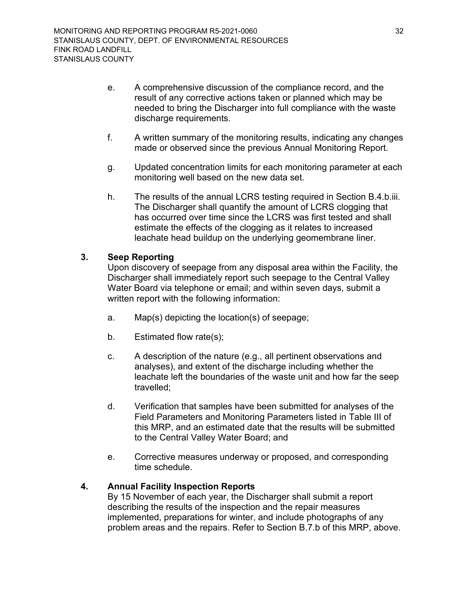- e. A comprehensive discussion of the compliance record, and the result of any corrective actions taken or planned which may be needed to bring the Discharger into full compliance with the waste discharge requirements.
- f. A written summary of the monitoring results, indicating any changes made or observed since the previous Annual Monitoring Report.
- g. Updated concentration limits for each monitoring parameter at each monitoring well based on the new data set.
- h. The results of the annual LCRS testing required in Section B.4.b.iii. The Discharger shall quantify the amount of LCRS clogging that has occurred over time since the LCRS was first tested and shall estimate the effects of the clogging as it relates to increased leachate head buildup on the underlying geomembrane liner.

## <span id="page-31-0"></span>**3. Seep Reporting**

Upon discovery of seepage from any disposal area within the Facility, the Discharger shall immediately report such seepage to the Central Valley Water Board via telephone or email; and within seven days, submit a written report with the following information:

- a. Map(s) depicting the location(s) of seepage;
- b. Estimated flow rate(s);
- c. A description of the nature (e.g., all pertinent observations and analyses), and extent of the discharge including whether the leachate left the boundaries of the waste unit and how far the seep travelled;
- d. Verification that samples have been submitted for analyses of the Field Parameters and Monitoring Parameters listed in Table III of this MRP, and an estimated date that the results will be submitted to the Central Valley Water Board; and
- e. Corrective measures underway or proposed, and corresponding time schedule.

## <span id="page-31-1"></span>**4. Annual Facility Inspection Reports**

By 15 November of each year, the Discharger shall submit a report describing the results of the inspection and the repair measures implemented, preparations for winter, and include photographs of any problem areas and the repairs. Refer to Section B.7.b of this MRP, above.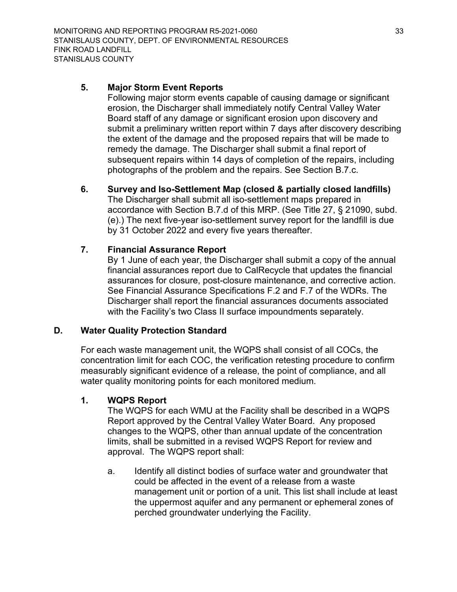## <span id="page-32-0"></span>**5. Major Storm Event Reports**

Following major storm events capable of causing damage or significant erosion, the Discharger shall immediately notify Central Valley Water Board staff of any damage or significant erosion upon discovery and submit a preliminary written report within 7 days after discovery describing the extent of the damage and the proposed repairs that will be made to remedy the damage. The Discharger shall submit a final report of subsequent repairs within 14 days of completion of the repairs, including photographs of the problem and the repairs. See Section B.7.c.

## <span id="page-32-1"></span>**6. Survey and Iso-Settlement Map (closed & partially closed landfills)**

The Discharger shall submit all iso-settlement maps prepared in accordance with Section B.7.d of this MRP. (See Title 27, § 21090, subd. (e).) The next five-year iso-settlement survey report for the landfill is due by 31 October 2022 and every five years thereafter.

## <span id="page-32-2"></span>**7. Financial Assurance Report**

By 1 June of each year, the Discharger shall submit a copy of the annual financial assurances report due to CalRecycle that updates the financial assurances for closure, post-closure maintenance, and corrective action. See Financial Assurance Specifications F.2 and F.7 of the WDRs. The Discharger shall report the financial assurances documents associated with the Facility's two Class II surface impoundments separately.

## <span id="page-32-3"></span>**D. Water Quality Protection Standard**

For each waste management unit, the WQPS shall consist of all COCs, the concentration limit for each COC, the verification retesting procedure to confirm measurably significant evidence of a release, the point of compliance, and all water quality monitoring points for each monitored medium.

## <span id="page-32-4"></span>**1. WQPS Report**

The WQPS for each WMU at the Facility shall be described in a WQPS Report approved by the Central Valley Water Board. Any proposed changes to the WQPS, other than annual update of the concentration limits, shall be submitted in a revised WQPS Report for review and approval. The WQPS report shall:

a. Identify all distinct bodies of surface water and groundwater that could be affected in the event of a release from a waste management unit or portion of a unit. This list shall include at least the uppermost aquifer and any permanent or ephemeral zones of perched groundwater underlying the Facility.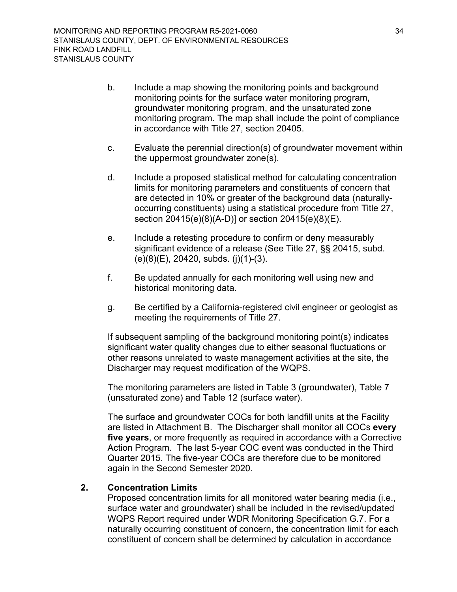- b. Include a map showing the monitoring points and background monitoring points for the surface water monitoring program, groundwater monitoring program, and the unsaturated zone monitoring program. The map shall include the point of compliance in accordance with Title 27, section 20405.
- c. Evaluate the perennial direction(s) of groundwater movement within the uppermost groundwater zone(s).
- d. Include a proposed statistical method for calculating concentration limits for monitoring parameters and constituents of concern that are detected in 10% or greater of the background data (naturallyoccurring constituents) using a statistical procedure from Title 27, section 20415(e)(8)(A-D)] or section 20415(e)(8)(E).
- e. Include a retesting procedure to confirm or deny measurably significant evidence of a release (See Title 27, §§ 20415, subd. (e)(8)(E), 20420, subds. (j)(1)-(3).
- f. Be updated annually for each monitoring well using new and historical monitoring data.
- g. Be certified by a California-registered civil engineer or geologist as meeting the requirements of Title 27.

If subsequent sampling of the background monitoring point(s) indicates significant water quality changes due to either seasonal fluctuations or other reasons unrelated to waste management activities at the site, the Discharger may request modification of the WQPS.

The monitoring parameters are listed in Table 3 (groundwater), Table 7 (unsaturated zone) and Table 12 (surface water).

The surface and groundwater COCs for both landfill units at the Facility are listed in Attachment B. The Discharger shall monitor all COCs **every five years**, or more frequently as required in accordance with a Corrective Action Program. The last 5-year COC event was conducted in the Third Quarter 2015. The five-year COCs are therefore due to be monitored again in the Second Semester 2020.

## <span id="page-33-0"></span>**2. Concentration Limits**

Proposed concentration limits for all monitored water bearing media (i.e., surface water and groundwater) shall be included in the revised/updated WQPS Report required under WDR Monitoring Specification G.7. For a naturally occurring constituent of concern, the concentration limit for each constituent of concern shall be determined by calculation in accordance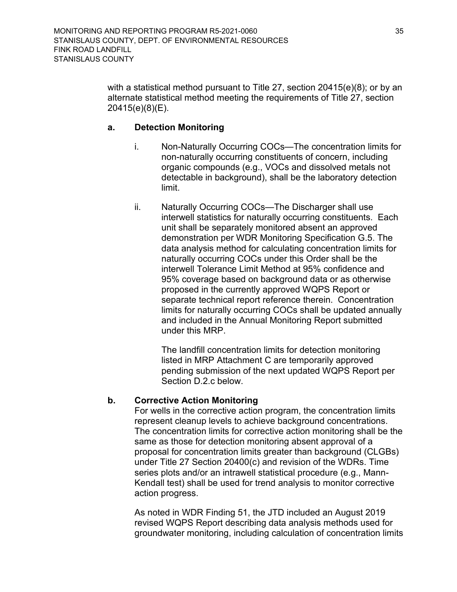with a statistical method pursuant to Title 27, section 20415(e)(8); or by an alternate statistical method meeting the requirements of Title 27, section 20415(e)(8)(E).

## <span id="page-34-0"></span>**a. Detection Monitoring**

- i. Non-Naturally Occurring COCs—The concentration limits for non-naturally occurring constituents of concern, including organic compounds (e.g., VOCs and dissolved metals not detectable in background), shall be the laboratory detection limit.
- ii. Naturally Occurring COCs—The Discharger shall use interwell statistics for naturally occurring constituents. Each unit shall be separately monitored absent an approved demonstration per WDR Monitoring Specification G.5. The data analysis method for calculating concentration limits for naturally occurring COCs under this Order shall be the interwell Tolerance Limit Method at 95% confidence and 95% coverage based on background data or as otherwise proposed in the currently approved WQPS Report or separate technical report reference therein. Concentration limits for naturally occurring COCs shall be updated annually and included in the Annual Monitoring Report submitted under this MRP.

The landfill concentration limits for detection monitoring listed in MRP Attachment C are temporarily approved pending submission of the next updated WQPS Report per Section D.2.c below.

## <span id="page-34-1"></span>**b. Corrective Action Monitoring**

For wells in the corrective action program, the concentration limits represent cleanup levels to achieve background concentrations. The concentration limits for corrective action monitoring shall be the same as those for detection monitoring absent approval of a proposal for concentration limits greater than background (CLGBs) under Title 27 Section 20400(c) and revision of the WDRs. Time series plots and/or an intrawell statistical procedure (e.g., Mann-Kendall test) shall be used for trend analysis to monitor corrective action progress.

As noted in WDR Finding 51, the JTD included an August 2019 revised WQPS Report describing data analysis methods used for groundwater monitoring, including calculation of concentration limits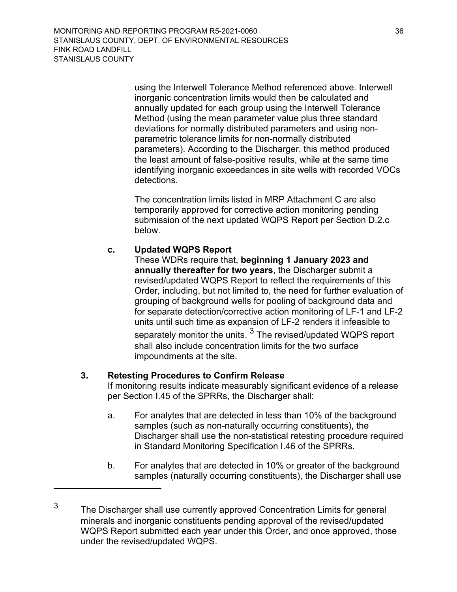> using the Interwell Tolerance Method referenced above. Interwell inorganic concentration limits would then be calculated and annually updated for each group using the Interwell Tolerance Method (using the mean parameter value plus three standard deviations for normally distributed parameters and using nonparametric tolerance limits for non-normally distributed parameters). According to the Discharger, this method produced the least amount of false-positive results, while at the same time identifying inorganic exceedances in site wells with recorded VOCs detections.

The concentration limits listed in MRP Attachment C are also temporarily approved for corrective action monitoring pending submission of the next updated WQPS Report per Section D.2.c below.

#### <span id="page-35-0"></span>**c. Updated WQPS Report**

These WDRs require that, **beginning 1 January 2023 and annually thereafter for two years**, the Discharger submit a revised/updated WQPS Report to reflect the requirements of this Order, including, but not limited to, the need for further evaluation of grouping of background wells for pooling of background data and for separate detection/corrective action monitoring of LF-1 and LF-2 units until such time as expansion of LF-2 renders it infeasible to separately monitor the units.  $^3$  $^3$  The revised/updated WQPS report shall also include concentration limits for the two surface impoundments at the site.

## <span id="page-35-1"></span>**3. Retesting Procedures to Confirm Release**

If monitoring results indicate measurably significant evidence of a release per Section I.45 of the SPRRs, the Discharger shall:

- a. For analytes that are detected in less than 10% of the background samples (such as non-naturally occurring constituents), the Discharger shall use the non-statistical retesting procedure required in Standard Monitoring Specification I.46 of the SPRRs.
- b. For analytes that are detected in 10% or greater of the background samples (naturally occurring constituents), the Discharger shall use

<span id="page-35-2"></span><sup>3</sup> The Discharger shall use currently approved Concentration Limits for general minerals and inorganic constituents pending approval of the revised/updated WQPS Report submitted each year under this Order, and once approved, those under the revised/updated WQPS.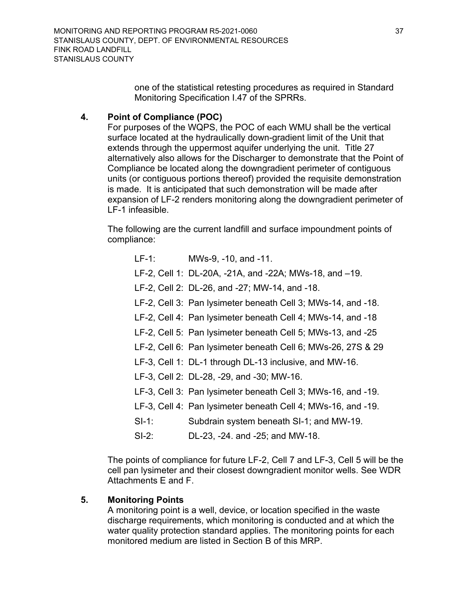one of the statistical retesting procedures as required in Standard Monitoring Specification I.47 of the SPRRs.

## <span id="page-36-0"></span>**4. Point of Compliance (POC)**

For purposes of the WQPS, the POC of each WMU shall be the vertical surface located at the hydraulically down-gradient limit of the Unit that extends through the uppermost aquifer underlying the unit. Title 27 alternatively also allows for the Discharger to demonstrate that the Point of Compliance be located along the downgradient perimeter of contiguous units (or contiguous portions thereof) provided the requisite demonstration is made. It is anticipated that such demonstration will be made after expansion of LF-2 renders monitoring along the downgradient perimeter of LF-1 infeasible.

The following are the current landfill and surface impoundment points of compliance:

- LF-1: MWs-9, -10, and -11.
- LF-2, Cell 1: DL-20A, -21A, and -22A; MWs-18, and –19.
- LF-2, Cell 2: DL-26, and -27; MW-14, and -18.
- LF-2, Cell 3: Pan lysimeter beneath Cell 3; MWs-14, and -18.
- LF-2, Cell 4: Pan lysimeter beneath Cell 4; MWs-14, and -18
- LF-2, Cell 5: Pan lysimeter beneath Cell 5; MWs-13, and -25
- LF-2, Cell 6: Pan lysimeter beneath Cell 6; MWs-26, 27S & 29
- LF-3, Cell 1: DL-1 through DL-13 inclusive, and MW-16.
- LF-3, Cell 2: DL-28, -29, and -30; MW-16.
- LF-3, Cell 3: Pan lysimeter beneath Cell 3; MWs-16, and -19.
- LF-3, Cell 4: Pan lysimeter beneath Cell 4; MWs-16, and -19.
- SI-1: Subdrain system beneath SI-1; and MW-19.
- SI-2: DL-23, -24. and -25; and MW-18.

The points of compliance for future LF-2, Cell 7 and LF-3, Cell 5 will be the cell pan lysimeter and their closest downgradient monitor wells. See WDR Attachments E and F.

## <span id="page-36-1"></span>**5. Monitoring Points**

A monitoring point is a well, device, or location specified in the waste discharge requirements, which monitoring is conducted and at which the water quality protection standard applies. The monitoring points for each monitored medium are listed in Section B of this MRP.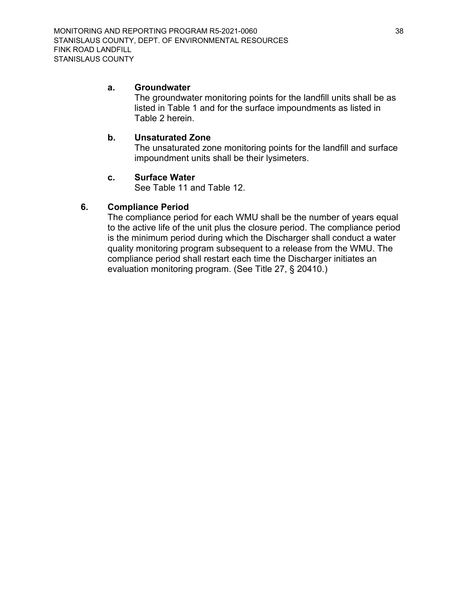#### <span id="page-37-0"></span>**a. Groundwater**

The groundwater monitoring points for the landfill units shall be as listed in Table 1 and for the surface impoundments as listed in Table 2 herein.

## <span id="page-37-1"></span>**b. Unsaturated Zone**

The unsaturated zone monitoring points for the landfill and surface impoundment units shall be their lysimeters.

#### **c. Surface Water**

See Table 11 and Table 12.

## <span id="page-37-3"></span><span id="page-37-2"></span>**6. Compliance Period**

The compliance period for each WMU shall be the number of years equal to the active life of the unit plus the closure period. The compliance period is the minimum period during which the Discharger shall conduct a water quality monitoring program subsequent to a release from the WMU. The compliance period shall restart each time the Discharger initiates an evaluation monitoring program. (See Title 27, § 20410.)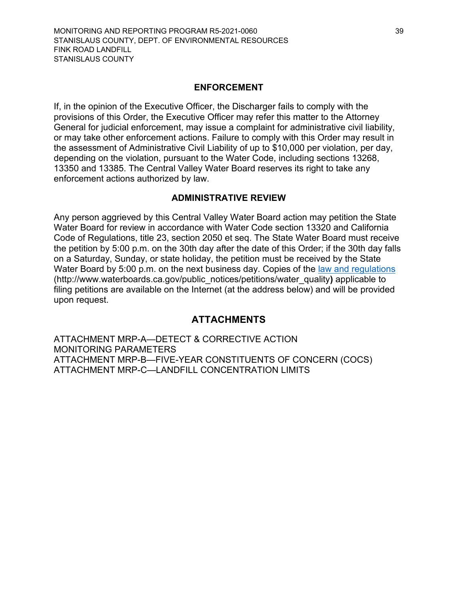#### **ENFORCEMENT**

If, in the opinion of the Executive Officer, the Discharger fails to comply with the provisions of this Order, the Executive Officer may refer this matter to the Attorney General for judicial enforcement, may issue a complaint for administrative civil liability, or may take other enforcement actions. Failure to comply with this Order may result in the assessment of Administrative Civil Liability of up to \$10,000 per violation, per day, depending on the violation, pursuant to the Water Code, including sections 13268, 13350 and 13385. The Central Valley Water Board reserves its right to take any enforcement actions authorized by law.

#### **ADMINISTRATIVE REVIEW**

Any person aggrieved by this Central Valley Water Board action may petition the State Water Board for review in accordance with Water Code section 13320 and California Code of Regulations, title 23, section 2050 et seq. The State Water Board must receive the petition by 5:00 p.m. on the 30th day after the date of this Order; if the 30th day falls on a Saturday, Sunday, or state holiday, the petition must be received by the State Water Board by 5:00 p.m. on the next business day. Copies of the [law and regulations](http://www.waterboards.ca.gov/public_notices/petitions/water_quality) (http://www.waterboards.ca.gov/public\_notices/petitions/water\_quality**)** applicable to filing petitions are available on the Internet (at the address below) and will be provided upon request.

## **ATTACHMENTS**

ATTACHMENT MRP-A—DETECT & CORRECTIVE ACTION MONITORING PARAMETERS ATTACHMENT MRP-B—FIVE-YEAR CONSTITUENTS OF CONCERN (COCS) ATTACHMENT MRP-C—LANDFILL CONCENTRATION LIMITS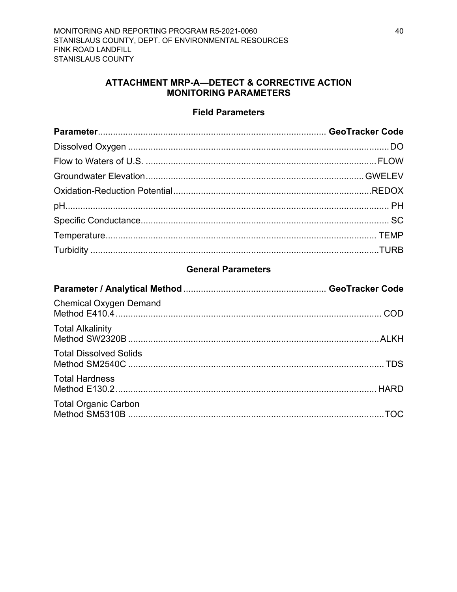## ATTACHMENT MRP-A-DETECT & CORRECTIVE ACTION **MONITORING PARAMETERS**

## **Field Parameters**

<span id="page-39-0"></span>

## **General Parameters**

| <b>Chemical Oxygen Demand</b> |  |
|-------------------------------|--|
| <b>Total Alkalinity</b>       |  |
| <b>Total Dissolved Solids</b> |  |
| <b>Total Hardness</b>         |  |
| <b>Total Organic Carbon</b>   |  |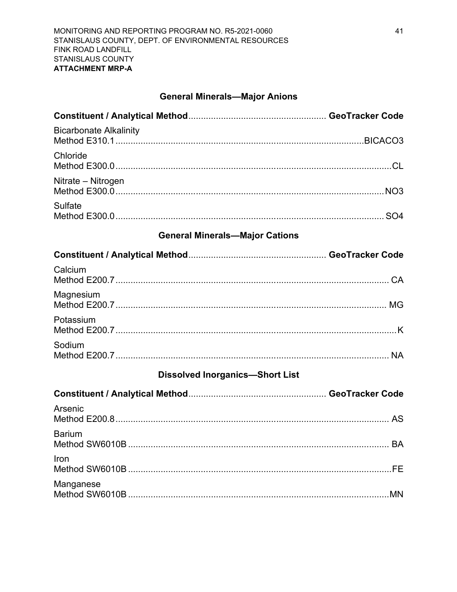# **General Minerals-Major Anions**

| <b>Bicarbonate Alkalinity</b>          |  |
|----------------------------------------|--|
| Chloride                               |  |
| Nitrate – Nitrogen                     |  |
| <b>Sulfate</b>                         |  |
| <b>General Minerals-Major Cations</b>  |  |
|                                        |  |
| Calcium                                |  |
| Magnesium                              |  |
| Potassium                              |  |
| Sodium                                 |  |
| <b>Dissolved Inorganics-Short List</b> |  |
|                                        |  |
| Arsenic                                |  |
| <b>Barium</b>                          |  |
| Iron                                   |  |
| Manganese                              |  |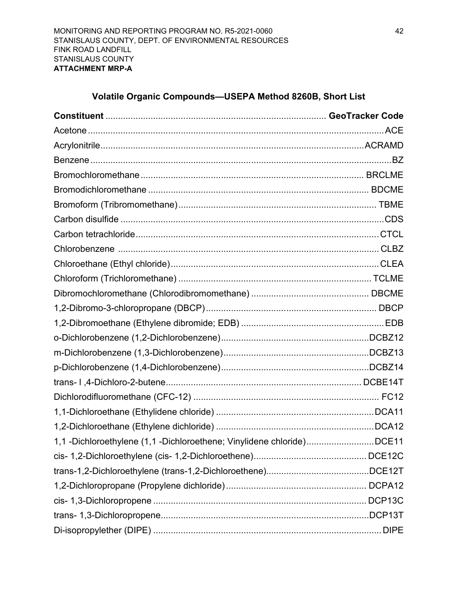# **Volatile Organic Compounds—USEPA Method 8260B, Short List**

| 1,1 -Dichloroethylene (1,1 -Dichloroethene; Vinylidene chloride)DCE11 |  |
|-----------------------------------------------------------------------|--|
|                                                                       |  |
|                                                                       |  |
|                                                                       |  |
|                                                                       |  |
|                                                                       |  |
|                                                                       |  |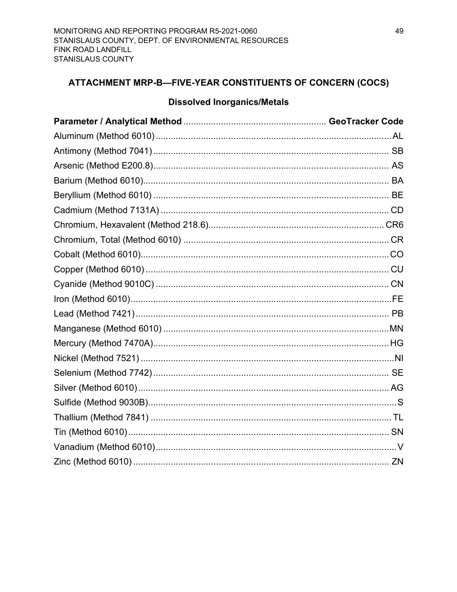# <span id="page-43-0"></span>ATTACHMENT MRP-B-FIVE-YEAR CONSTITUENTS OF CONCERN (COCS)

## **Dissolved Inorganics/Metals**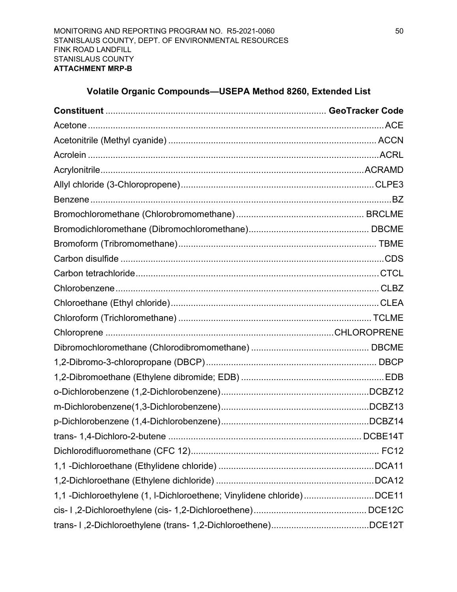# **Volatile Organic Compounds—USEPA Method 8260, Extended List**

| 1,1 -Dichloroethylene (1, I-Dichloroethene; Vinylidene chloride)DCE11 |  |
|-----------------------------------------------------------------------|--|
|                                                                       |  |
|                                                                       |  |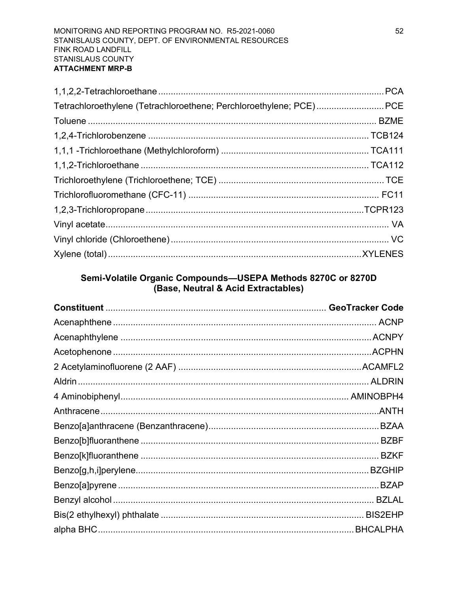| Tetrachloroethylene (Tetrachloroethene; Perchloroethylene; PCE)PCE |  |
|--------------------------------------------------------------------|--|
|                                                                    |  |
|                                                                    |  |
|                                                                    |  |
|                                                                    |  |
|                                                                    |  |
|                                                                    |  |
|                                                                    |  |
|                                                                    |  |
|                                                                    |  |
|                                                                    |  |

# Semi-Volatile Organic Compounds-USEPA Methods 8270C or 8270D (Base, Neutral & Acid Extractables)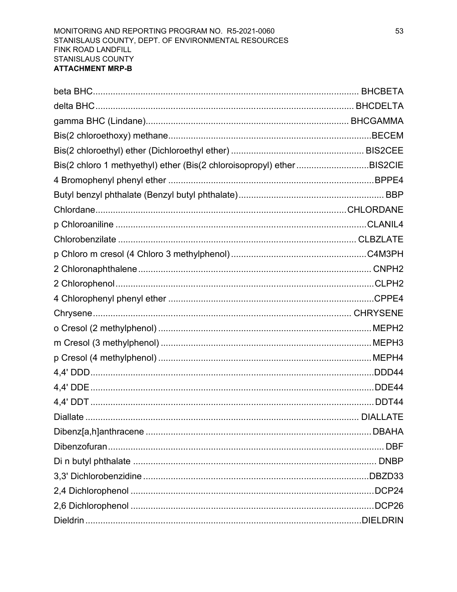| Bis(2 chloro 1 methyethyl) ether (Bis(2 chloroisopropyl) ether BIS2CIE |        |
|------------------------------------------------------------------------|--------|
|                                                                        |        |
|                                                                        |        |
|                                                                        |        |
|                                                                        |        |
|                                                                        |        |
|                                                                        |        |
|                                                                        |        |
|                                                                        |        |
|                                                                        |        |
|                                                                        |        |
|                                                                        |        |
|                                                                        |        |
|                                                                        |        |
|                                                                        |        |
|                                                                        |        |
|                                                                        |        |
|                                                                        |        |
|                                                                        |        |
|                                                                        |        |
|                                                                        |        |
|                                                                        |        |
|                                                                        |        |
|                                                                        | .DCP26 |
|                                                                        |        |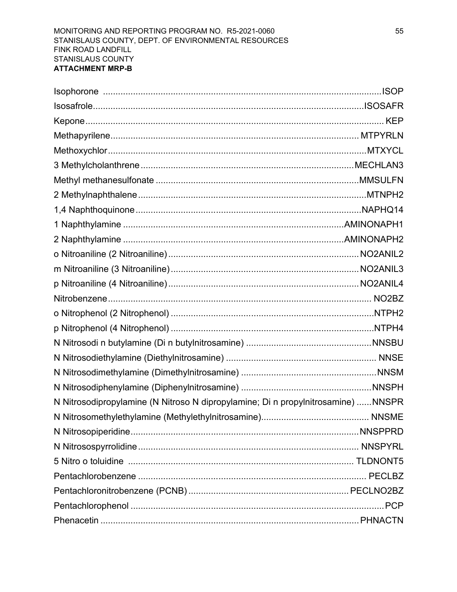| N Nitrosodipropylamine (N Nitroso N dipropylamine; Di n propylnitrosamine) NNSPR |  |
|----------------------------------------------------------------------------------|--|
|                                                                                  |  |
|                                                                                  |  |
|                                                                                  |  |
|                                                                                  |  |
|                                                                                  |  |
|                                                                                  |  |
|                                                                                  |  |
|                                                                                  |  |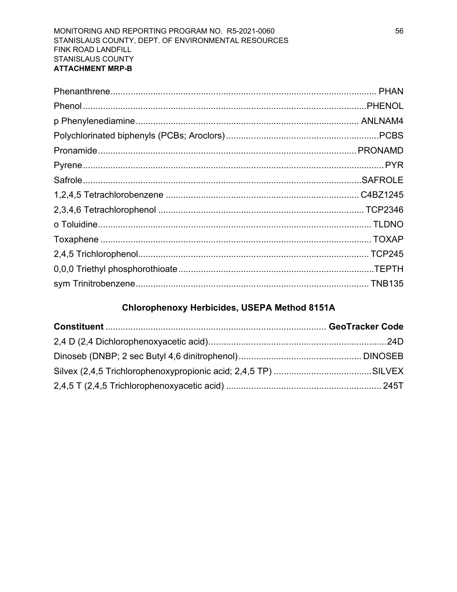# Chlorophenoxy Herbicides, USEPA Method 8151A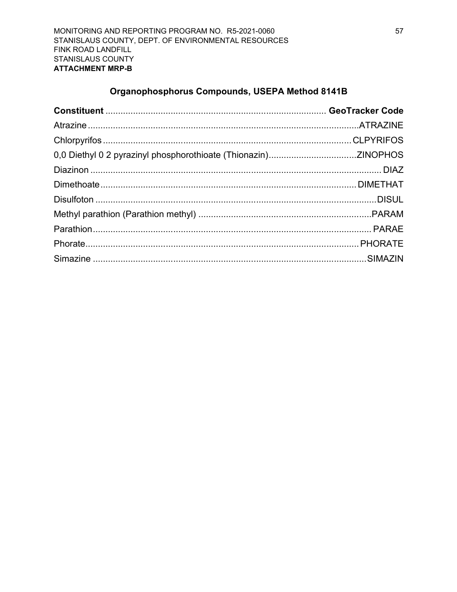# Organophosphorus Compounds, USEPA Method 8141B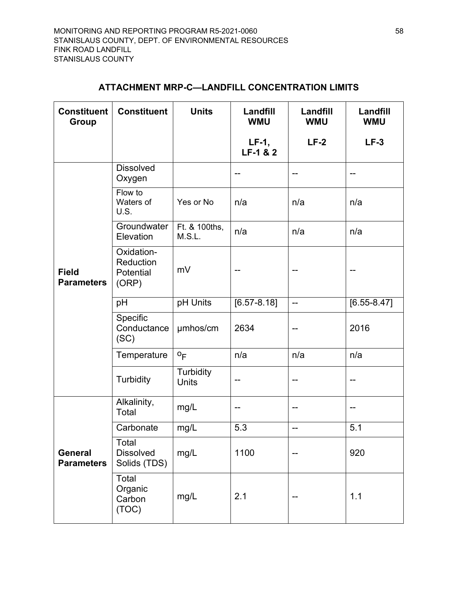# **ATTACHMENT MRP-C—LANDFILL CONCENTRATION LIMITS**

<span id="page-52-0"></span>

| <b>Constituent</b><br><b>Group</b>  | <b>Constituent</b>                            | <b>Units</b>            | Landfill<br><b>WMU</b> | Landfill<br><b>WMU</b> | Landfill<br><b>WMU</b> |
|-------------------------------------|-----------------------------------------------|-------------------------|------------------------|------------------------|------------------------|
|                                     |                                               |                         | $LF-1$ ,<br>LF-1 & 2   | $LF-2$                 | $LF-3$                 |
|                                     | <b>Dissolved</b><br>Oxygen                    |                         |                        |                        |                        |
|                                     | Flow to<br>Waters of<br><b>U.S.</b>           | Yes or No               | n/a                    | n/a                    | n/a                    |
|                                     | Groundwater<br>Elevation                      | Ft. & 100ths,<br>M.S.L. | n/a                    | n/a                    | n/a                    |
| <b>Field</b><br><b>Parameters</b>   | Oxidation-<br>Reduction<br>Potential<br>(ORP) | mV                      |                        |                        |                        |
|                                     | pH                                            | pH Units                | $[6.57 - 8.18]$        | $\overline{a}$         | $[6.55 - 8.47]$        |
|                                     | Specific<br>Conductance<br>(SC)               | µmhos/cm                | 2634                   |                        | 2016                   |
|                                     | Temperature                                   | $\circ$ <sub>F</sub>    | n/a                    | n/a                    | n/a                    |
|                                     | <b>Turbidity</b>                              | Turbidity<br>Units      |                        | --                     |                        |
| <b>General</b><br><b>Parameters</b> | Alkalinity,<br>Total                          | mg/L                    | --                     | --                     |                        |
|                                     | Carbonate                                     | mg/L                    | 5.3                    | --                     | 5.1                    |
|                                     | Total<br><b>Dissolved</b><br>Solids (TDS)     | mg/L                    | 1100                   |                        | 920                    |
|                                     | Total<br>Organic<br>Carbon<br>(TOC)           | mg/L                    | 2.1                    |                        | 1.1                    |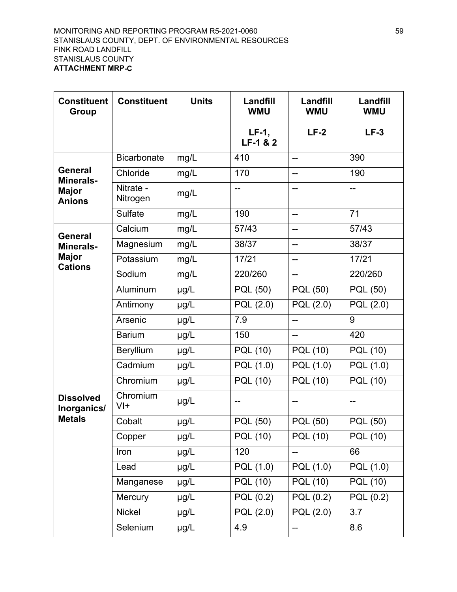| <b>Constituent</b><br><b>Group</b> | <b>Constituent</b>    | <b>Units</b> | Landfill<br><b>WMU</b>        | Landfill<br><b>WMU</b>   | Landfill<br><b>WMU</b> |
|------------------------------------|-----------------------|--------------|-------------------------------|--------------------------|------------------------|
|                                    |                       |              | $LF-1$ ,<br>$LF-1 & 2$        | $LF-2$                   | $LF-3$                 |
|                                    | <b>Bicarbonate</b>    | mg/L         | 410                           | $\overline{a}$           | 390                    |
| <b>General</b><br><b>Minerals-</b> | Chloride              | mg/L         | 170                           | --                       | 190                    |
| <b>Major</b><br><b>Anions</b>      | Nitrate -<br>Nitrogen | mg/L         | --                            | $\overline{a}$           | $\overline{a}$         |
|                                    | <b>Sulfate</b>        | mg/L         | 190                           | --                       | 71                     |
| General                            | Calcium               | mg/L         | 57/43                         | $\overline{\phantom{a}}$ | 57/43                  |
| <b>Minerals-</b>                   | Magnesium             | mg/L         | 38/37                         | --                       | 38/37                  |
| <b>Major</b><br><b>Cations</b>     | Potassium             | mg/L         | 17/21                         | --                       | 17/21                  |
|                                    | Sodium                | mg/L         | 220/260                       | $\overline{a}$           | 220/260                |
|                                    | Aluminum              | µg/L         | PQL (50)                      | PQL (50)                 | PQL (50)               |
|                                    | Antimony              | µg/L         | PQL (2.0)                     | PQL (2.0)                | PQL (2.0)              |
|                                    | Arsenic               | µg/L         | 7.9                           | $-$                      | 9                      |
|                                    | <b>Barium</b>         | µg/L         | 150                           | --                       | 420                    |
|                                    | Beryllium             | µg/L         | PQL (10)                      | <b>PQL (10)</b>          | <b>PQL (10)</b>        |
|                                    | Cadmium               | µg/L         | PQL (1.0)                     | PQL (1.0)                | PQL (1.0)              |
|                                    | Chromium              | µg/L         | PQL(10)                       | PQL (10)                 | $\overline{PQL(10)}$   |
| <b>Dissolved</b><br>Inorganics/    | Chromium<br>$V +$     | µg/L         | --                            | --                       |                        |
| <b>Metals</b>                      | Cobalt                | µg/L         | PQL (50)                      | PQL (50)                 | PQL (50)               |
|                                    | Copper                | µg/L         | <b>PQL (10)</b>               | PQL (10)                 | PQL (10)               |
|                                    | Iron                  | µg/L         | 120                           | --                       | 66                     |
|                                    | Lead                  | µg/L         | PQL (1.0)                     | PQL (1.0)                | PQL (1.0)              |
|                                    | Manganese             | µg/L         | $\overline{\mathsf{PQL}}(10)$ | <b>PQL (10)</b>          | PQL(10)                |
|                                    | Mercury               | µg/L         | PQL (0.2)                     | PQL (0.2)                | PQL (0.2)              |
|                                    | <b>Nickel</b>         | µg/L         | PQL (2.0)                     | PQL (2.0)                | 3.7                    |
|                                    | Selenium              | µg/L         | 4.9                           | $\overline{\phantom{a}}$ | 8.6                    |